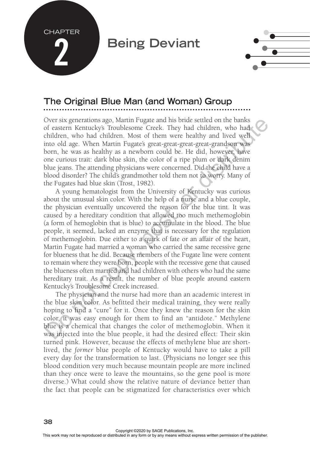**Being Deviant** 

# **The Original Blue Man (and Woman) Group**

**CHAPTER** 

Over six generations ago, Martin Fugate and his bride settled on the banks of eastern Kentucky's Troublesome Creek. They had children, who had children, who had children. Most of them were healthy and lived well into old age. When Martin Fugate's great-great-great-great-grandson was born, he was as healthy as a newborn could be. He did, however, have one curious trait: dark blue skin, the color of a ripe plum or dark denim blue jeans. The attending physicians were concerned. Did the child have a blood disorder? The child's grandmother told them not to worry. Many of the Fugates had blue skin (Trost, 1982).

A young hematologist from the University of Kentucky was curious about the unusual skin color. With the help of a nurse and a blue couple, the physician eventually uncovered the reason for the blue tint. It was caused by a hereditary condition that allowed too much methemoglobin (a form of hemoglobin that is blue) to accumulate in the blood. The blue people, it seemed, lacked an enzyme that is necessary for the regulation of methemoglobin. Due either to a quirk of fate or an affair of the heart, Martin Fugate had married a woman who carried the same recessive gene for blueness that he did. Because members of the Fugate line were content to remain where they were born, people with the recessive gene that caused the blueness often married and had children with others who had the same hereditary trait. As a result, the number of blue people around eastern Kentucky's Troublesome Creek increased. Over six generations ago, Martin Fugate and his brite settled on the banks<br>of o castern Kennucky's Troublesome Creek. They had children, who had<br>children, who had children. Most of them were healthy and lived well<br>brithous

The physician and the nurse had more than an academic interest in the blue skin color. As befitted their medical training, they were really hoping to find a "cure" for it. Once they knew the reason for the skin color, it was easy enough for them to find an "antidote." Methylene blue is a chemical that changes the color of methemoglobin. When it was injected into the blue people, it had the desired effect: Their skin turned pink. However, because the effects of methylene blue are shortlived, the *former* blue people of Kentucky would have to take a pill every day for the transformation to last. (Physicians no longer see this blood condition very much because mountain people are more inclined than they once were to leave the mountains, so the gene pool is more diverse.) What could show the relative nature of deviance better than the fact that people can be stigmatized for characteristics over which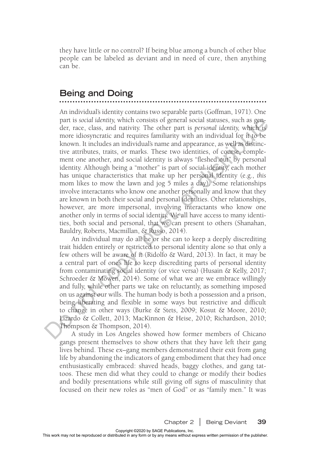they have little or no control? If being blue among a bunch of other blue people can be labeled as deviant and in need of cure, then anything can be.

# **Being and Doing**

An individual's identity contains two separable parts (Goffman, 1971). One part is *social identity,* which consists of general social statuses, such as gender, race, class, and nativity. The other part is *personal identity,* which is more idiosyncratic and requires familiarity with an individual for it to be known. It includes an individual's name and appearance, as well as distinctive attributes, traits, or marks. These two identities, of course, complement one another, and social identity is always "fleshed out" by personal identity. Although being a "mother" is part of social identity, each mother has unique characteristics that make up her personal identity (e.g., *this*  mom likes to mow the lawn and jog 5 miles a day). Some relationships involve interactants who know one another personally and know that they are known in both their social and personal identities. Other relationships, however, are more impersonal, involving interactants who know one another only in terms of social identity. We all have access to many identities, both social and personal, that we can present to others (Shanahan, Bauldry, Roberts, Macmillan, & Russo, 2014). part is ordid identity, which consists of general socials statues, such as general consumer det, race, class, and nativity. The other part is personal identity, which is more idiosyncratic and requirers familiarity with an

An individual may do all he or she can to keep a deeply discrediting trait hidden entirely or restricted to personal identity alone so that only a few others will be aware of it (Ridolfo & Ward, 2013). In fact, it may be a central part of one's life to keep discrediting parts of personal identity from contaminating social identity (or vice versa) (Husain & Kelly, 2017; Schroeder & Mowen, 2014). Some of what we are we embrace willingly and fully, while other parts we take on reluctantly, as something imposed on us against our wills. The human body is both a possession and a prison, being liberating and flexible in some ways but restrictive and difficult to change in other ways (Burke & Stets, 2009; Kosut & Moore, 2010; Lizardo & Collett, 2013; MacKinnon & Heise, 2010; Richardson, 2010; Thompson & Thompson, 2014).

A study in Los Angeles showed how former members of Chicano gangs present themselves to show others that they have left their gang lives behind. These ex–gang members demonstrated their exit from gang life by abandoning the indicators of gang embodiment that they had once enthusiastically embraced: shaved heads, baggy clothes, and gang tattoos. These men did what they could to change or modify their bodies and bodily presentations while still giving off signs of masculinity that focused on their new roles as "men of God" or as "family men." It was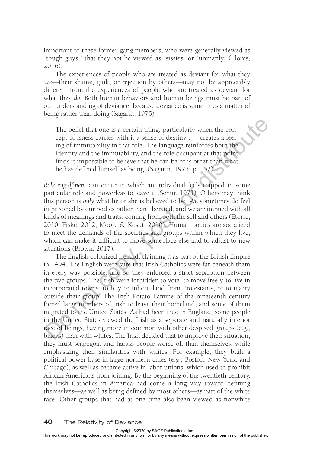important to these former gang members, who were generally viewed as "tough guys," that they not be viewed as "sissies" or "unmanly" (Flores, 2016).

The experiences of people who are treated as deviant for what they *are*—their shame, guilt, or rejection by others—may not be appreciably different from the experiences of people who are treated as deviant for what they *do*. Both human behaviors and human beings must be part of our understanding of deviance, because deviance is sometimes a matter of being rather than doing (Sagarin, 1975).

The belief that one is a certain thing, particularly when the concept of isness carries with it a sense of destiny . . . creates a feeling of immutability in that role. The language reinforces both the identity and the immutability, and the role occupant at that point finds it impossible to believe that he can be or is other than what he has defined himself as being. (Sagarin, 1975, p. 152)

*Role engulfment* can occur in which an individual feels trapped in some particular role and powerless to leave it (Schur, 1971). Others may think this person is *only* what he or she is believed to be. We sometimes do feel imprisoned by our bodies rather than liberated, and we are imbued with all kinds of meanings and traits, coming from both the self and others (Etorre, 2010; Fiske, 2012; Moore & Kosut, 2010). Human bodies are socialized to meet the demands of the societies and groups within which they live, which can make it difficult to move someplace else and to adjust to new situations (Brown, 2017).

The English colonized Ireland, claiming it as part of the British Empire in 1494. The English were sure that Irish Catholics were far beneath them in every way possible, and so they enforced a strict separation between the two groups. The Irish were forbidden to vote, to move freely, to live in incorporated towns, to buy or inherit land from Protestants, or to marry outside their group. The Irish Potato Famine of the nineteenth century forced large numbers of Irish to leave their homeland, and some of them migrated to the United States. As had been true in England, some people in the United States viewed the Irish as a separate and naturally inferior race of beings, having more in common with other despised groups (e.g., blacks) than with whites. The Irish decided that to improve their situation, they must scapegoat and harass people worse off than themselves, while emphasizing their similarities with whites. For example, they built a political power base in large northern cities (e.g., Boston, New York, and Chicago), as well as became active in labor unions, which used to prohibit African Americans from joining. By the beginning of the twentieth century, the Irish Catholics in America had come a long way toward defining themselves—as well as being defined by most others—as part of the white race. Other groups that had at one time also been viewed as nonwhite The belief that one is a certain thing, particularly when the concept of isness carries with it a sense of destiny . . . creates a feel-<br>ing of immutablity in that role. The language reinforces both the<br>identity and the i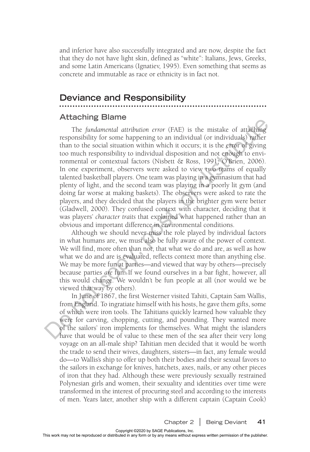and inferior have also successfully integrated and are now, despite the fact that they do not have light skin, defined as "white": Italians, Jews, Greeks, and some Latin Americans (Ignatiev, 1995). Even something that seems as concrete and immutable as race or ethnicity is in fact not.

# **Deviance and Responsibility**

## **Attaching Blame**

The *fundamental attribution error* (FAE) is the mistake of attaching responsibility for some happening to an individual (or individuals) rather than to the social situation within which it occurs; it is the error of giving too much responsibility to individual disposition and not enough to environmental or contextual factors (Nisbett & Ross, 1991; O'Brien, 2006). In one experiment, observers were asked to view two teams of equally talented basketball players. One team was playing in a gymnasium that had plenty of light, and the second team was playing in a poorly lit gym (and doing far worse at making baskets). The observers were asked to rate the players, and they decided that the players in the brighter gym were better (Gladwell, 2000). They confused context with character, deciding that it was players' *character traits* that explained what happened rather than an obvious and important difference in environmental conditions. **EXECUTE TO EXECUTE TO THE for that the matter of the mistake of attaching** responsibility for some happening to an individual (or individuals) rather than to the social situation within which it cocurs; it is the error o

Although we should never miss the role played by individual factors in what humans are, we must also be fully aware of the power of context. We will find, more often than not, that what we do and are, as well as how what we do and are is evaluated, reflects context more than anything else. We may be more fun at parties—and viewed that way by others—precisely because parties *are* fun. If we found ourselves in a bar fight, however, all this would change. We wouldn't be fun people at all (nor would we be viewed that way by others).

In June of 1867, the first Westerner visited Tahiti, Captain Sam Wallis, from England. To ingratiate himself with his hosts, he gave them gifts, some of which were iron tools. The Tahitians quickly learned how valuable they were for carving, chopping, cutting, and pounding. They wanted more of the sailors' iron implements for themselves. What might the islanders have that would be of value to these men of the sea after their very long voyage on an all-male ship? Tahitian men decided that it would be worth the trade to send their wives, daughters, sisters—in fact, any female would do—to Wallis's ship to offer up both their bodies and their sexual favors to the sailors in exchange for knives, hatchets, axes, nails, or any other pieces of iron that they had. Although these were previously sexually restrained Polynesian girls and women, their sexuality and identities over time were transformed in the interest of procuring steel and according to the interests of men. Years later, another ship with a different captain (Captain Cook)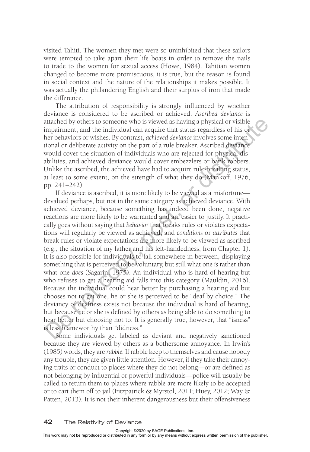visited Tahiti. The women they met were so uninhibited that these sailors were tempted to take apart their life boats in order to remove the nails to trade to the women for sexual access (Howe, 1984). Tahitian women changed to become more promiscuous, it is true, but the reason is found in social context and the nature of the relationships it makes possible. It was actually the philandering English and their surplus of iron that made the difference.

The attribution of responsibility is strongly influenced by whether deviance is considered to be ascribed or achieved. *Ascribed deviance* is attached by others to someone who is viewed as having a physical or visible impairment, and the individual can acquire that status regardless of his or her behaviors or wishes. By contrast, *achieved deviance* involves some intentional or deliberate activity on the part of a rule breaker. Ascribed deviance would cover the situation of individuals who are rejected for physical disabilities, and achieved deviance would cover embezzlers or bank robbers. Unlike the ascribed, the achieved have had to acquire rule-breaking status, at least to some extent, on the strength of what they do (Mankoff, 1976, pp. 241–242).

If deviance is ascribed, it is more likely to be viewed as a misfortune devalued perhaps, but not in the same category as achieved deviance. With achieved deviance, because something has indeed been done, negative reactions are more likely to be warranted and are easier to justify. It practically goes without saying that *behavior* that breaks rules or violates expectations will regularly be viewed as achieved, and *conditions* or *attributes* that break rules or violate expectations are more likely to be viewed as ascribed (e.g., the situation of my father and his left-handedness, from Chapter 1). It is also possible for individuals to fall somewhere in between, displaying something that is perceived to be voluntary, but still what one *is* rather than what one *does* (Sagarin, 1975). An individual who is hard of hearing but who refuses to get a hearing aid falls into this category (Mauldin, 2016). Because the individual could hear better by purchasing a hearing aid but chooses not to get one, he or she is perceived to be "deaf by choice." The deviancy of deafness exists not because the individual is hard of hearing, but because he or she is defined by others as being able to do something to hear better but choosing not to. It is generally true, however, that "isness" is less blameworthy than "didness." attached by others to someone who is viewed as having a physical or visible<br>mignairment, and the individual can acquire that status regardless of his of<br>mer behaviors or wishes. By contrast, *achieved deviance* involves so

Some individuals get labeled as deviant and negatively sanctioned because they are viewed by others as a bothersome annoyance. In Irwin's (1985) words, they are *rabble.* If rabble keep to themselves and cause nobody any trouble, they are given little attention. However, if they take their annoying traits or conduct to places where they do not belong—or are defined as not belonging by influential or powerful individuals—police will usually be called to return them to places where rabble are more likely to be accepted or to cart them off to jail (Fitzpatrick & Myrstol, 2011; Huey, 2012; Way & Patten, 2013). It is not their inherent dangerousness but their offensiveness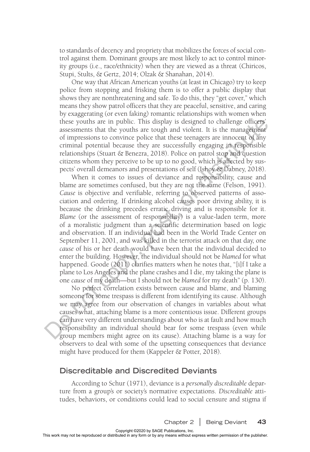to standards of decency and propriety that mobilizes the forces of social control against them. Dominant groups are most likely to act to control minority groups (i.e., race/ethnicity) when they are viewed as a threat (Chiricos, Stupi, Stults, & Gertz, 2014; Olzak & Shanahan, 2014).

One way that African American youths (at least in Chicago) try to keep police from stopping and frisking them is to offer a public display that shows they are nonthreatening and safe. To do this, they "get cover," which means they show patrol officers that they are peaceful, sensitive, and caring by exaggerating (or even faking) romantic relationships with women when these youths are in public. This display is designed to challenge officers' assessments that the youths are tough and violent. It is the management of impressions to convince police that these teenagers are innocent of any criminal potential because they are successfully engaging in responsible relationships (Stuart & Benezra, 2018). Police on patrol stop and question citizens whom they perceive to be up to no good, which is affected by suspects' overall demeanors and presentations of self (Ishoy & Dabney, 2018).

When it comes to issues of deviance and responsibility, cause and blame are sometimes confused, but they are not the same (Felson, 1991). *Cause* is objective and verifiable, referring to observed patterns of association and ordering. If drinking alcohol causes poor driving ability, it is because the drinking precedes erratic driving and is responsible for it. *Blame* (or the assessment of responsibility) is a value-laden term, more of a moralistic judgment than a scientific determination based on logic and observation. If an individual had been in the World Trade Center on September 11, 2001, and was killed in the terrorist attack on that day, one *cause* of his or her death would have been that the individual decided to enter the building. However, the individual should not be *blamed* for what happened. Goode (2011) clarifies matters when he notes that, "[i]f I take a plane to Los Angeles and the plane crashes and I die, my taking the plane is one *cause* of my death—but I should not be *blamed* for my death" (p. 130). these youths are in public. This display is designed to challenge officers<br>assessments that the youths are tough and violent. It is the management<br>of impressions to convince police that these teenagers are imocened bany<br>cr

No perfect correlation exists between cause and blame, and blaming someone for some trespass is different from identifying its cause. Although we may agree from our observation of changes in variables about what causes what, attaching blame is a more contentious issue. Different groups can have very different understandings about who is at fault and how much responsibility an individual should bear for some trespass (even while group members might agree on its cause). Attaching blame is a way for observers to deal with some of the upsetting consequences that deviance might have produced for them (Kappeler & Potter, 2018).

## **Discreditable and Discredited Deviants**

According to Schur (1971), deviance is a *personally discreditable* departure from a group's or society's normative expectations. *Discreditable* attitudes, behaviors, or conditions could lead to social censure and stigma if

Chapter 2 | Being Deviant **43**

Copyright ©2020 by SAGE Publications, Inc.

This work may not be reproduced or distributed in any form or by any means without express written permission of the publisher.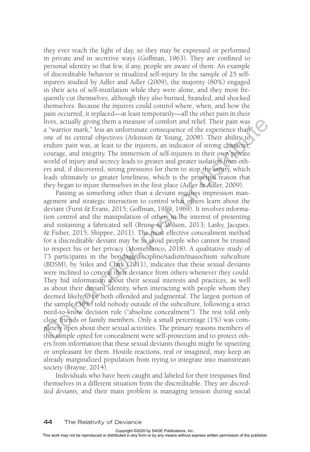they ever reach the light of day, so they may be expressed or performed in private and in secretive ways (Goffman, 1963). They are confined to personal identity so that few, if any, people are aware of them. An example of discreditable behavior is ritualized self-injury. In the sample of 25 selfinjurers studied by Adler and Adler (2009), the majority (80%) engaged in their acts of self-mutilation while they were alone, and they most frequently cut themselves, although they also burned, branded, and shocked themselves. Because the injurers could control where, when, and how the pain occurred, it replaced—at least temporarily—all the other pain in their lives, actually giving them a measure of comfort and relief. Their pain was a "warrior mark," less an unfortunate consequence of the experience than one of its central objectives (Atkinson & Young, 2008). Their ability to endure pain was, at least to the injurers, an indicator of strong character, courage, and integrity. The immersion of self-injurers in their own private world of injury and secrecy leads to greater and greater isolation from others and, if discovered, strong pressures for them to stop the injury, which leads ultimately to greater loneliness, which is the principal reason that they began to injure themselves in the first place (Adler & Adler, 2009).

Passing as something other than a deviant requires impression management and strategic interaction to control what others learn about the deviant (Furst & Evans, 2015; Goffman, 1959, 1969). It involves information control and the manipulation of others in the interest of presenting and sustaining a fabricated self (Brune & Wilson, 2013; Lasky, Jacques, & Fisher, 2015; Shippee, 2011). The most effective concealment method for a discreditable deviant may be to avoid people who cannot be trusted to respect his or her privacy (Monteblanco, 2018). A qualitative study of 73 participants in the bondage/discipline/sadism/masochism subculture (BDSM), by Stiles and Clark (2011), indicates that these sexual deviants were inclined to conceal their deviance from others whenever they could. They hid information about their sexual interests and practices, as well as about their deviant identity, when interacting with people whom they deemed likely to be both offended and judgmental. The largest portion of the sample (38%) told nobody outside of the subculture, following a strict need-to-know decision rule ("absolute concealment"). The rest told only close friends or family members. Only a small percentage (1%) was completely open about their sexual activities. The primary reasons members of this sample opted for concealment were self-protection and to protect others from information that these sexual deviants thought might be upsetting or unpleasant for them. Hostile reactions, real or imagined, may keep an already marginalized population from trying to integrate into mainstream society (Brayne, 2014). lives, actually giving them a measure of comfort and relief. Their pain was<br>
"warror mark," less an unfortunate consequence of the experience than<br>tome of its central objectives (Atkinson & Young, 2008). Their ability to<br>

Individuals who have been caught and labeled for their trespasses find themselves in a different situation from the discreditable. They are *discredited deviants,* and their main problem is managing tension during social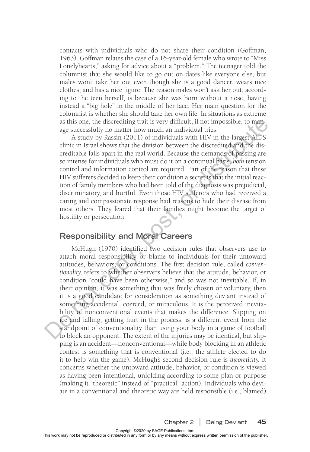contacts with individuals who do not share their condition (Goffman, 1963). Goffman relates the case of a 16-year-old female who wrote to "Miss Lonelyhearts," asking for advice about a "problem." The teenager told the columnist that she would like to go out on dates like everyone else, but males won't take her out even though she is a good dancer, wears nice clothes, and has a nice figure. The reason males won't ask her out, according to the teen herself, is because she was born without a nose, having instead a "big hole" in the middle of her face. Her main question for the columnist is whether she should take her own life. In situations as extreme as this one, the discrediting trait is very difficult, if not impossible, to manage successfully no matter how much an individual tries.

A study by Rassin (2011) of individuals with HIV in the largest AIDS clinic in Israel shows that the division between the discredited and the discreditable falls apart in the real world. Because the demands of passing are so intense for individuals who must do it on a continual basis, *both* tension control and information control are required. Part of the reason that these HIV sufferers decided to keep their condition a secret is that the initial reaction of family members who had been told of the diagnosis was prejudicial, discriminatory, and hurtful. Even those HIV sufferers who had received a caring and compassionate response had reasons to hide their disease from most others. They feared that their families might become the target of hostility or persecution.

## **Responsibility and Moral Careers**

McHugh (1970) identified two decision rules that observers use to attach moral responsibility or blame to individuals for their untoward attitudes, behaviors, or conditions. The first decision rule, called *conventionality,* refers to whether observers believe that the attitude, behavior, or condition "could have been otherwise," and so was not inevitable. If, in their opinion, it was something that was freely chosen or voluntary, then it is a good candidate for consideration as something deviant instead of something accidental, coerced, or miraculous. It is the perceived inevitability of nonconventional events that makes the difference. Slipping on ice and falling, getting hurt in the process, is a different event from the standpoint of conventionality than using your body in a game of football to block an opponent. The extent of the injuries may be identical, but slipping is an accident—nonconventional—while body blocking in an athletic contest is something that is conventional (i.e., the athlete elected to do it to help win the game). McHugh's second decision rule is *theoreticity.* It concerns whether the untoward attitude, behavior, or condition is viewed as having been intentional, unfolding according to some plan or purpose (making it "theoretic" instead of "practical" action). Individuals who deviate in a conventional and theoretic way are held responsible (i.e., blamed) as this one, the discrediting trait is very difficult, if not impossible, to manage successfully no mater how much an individual tries.<br>
A study by Rassin (2011) of individuals with HIV in the largest AIDS<br>
clinic in Isra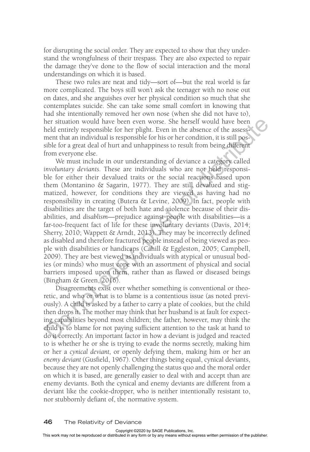for disrupting the social order. They are expected to show that they understand the wrongfulness of their trespass. They are also expected to repair the damage they've done to the flow of social interaction and the moral understandings on which it is based.

These two rules are neat and tidy—sort of—but the real world is far more complicated. The boys still won't ask the teenager with no nose out on dates, and she anguishes over her physical condition so much that she contemplates suicide. She can take some small comfort in knowing that had she intentionally removed her own nose (when she did not have to), her situation would have been even worse. She herself would have been held entirely responsible for her plight. Even in the absence of the assess- $\triangle$ ment that an individual is responsible for his or her condition, it is still possible for a great deal of hurt and unhappiness to result from being different from everyone else.

We must include in our understanding of deviance a category called *involuntary deviants.* These are individuals who are not held responsible for either their devalued traits or the social reactions based upon them (Montanino & Sagarin, 1977). They are still devalued and stigmatized, however, for conditions they are viewed as having had no responsibility in creating (Butera & Levine, 2009). In fact, people with disabilities are the target of both hate and violence because of their disabilities, and *disablism*—prejudice against people with disabilities—is a far-too-frequent fact of life for these involuntary deviants (Davis, 2014; Sherry, 2010; Wappett & Arndt, 2013). They may be incorrectly defined as disabled and therefore fractured people instead of being viewed as people with disabilities or handicaps (Cahill & Eggleston, 2005; Campbell, 2009). They are best viewed as individuals with atypical or unusual bodies (or minds) who must cope with an assortment of physical and social barriers imposed upon them, rather than as flawed or diseased beings (Bingham & Green, 2016). her situation would have been even worse. She herself would have been<br>helm dentirely responsible for her plight. Even in the absence of the assessible for a great deal of hurt and unhappines to result from being different<br>

Disagreements exist over whether something is conventional or theoretic, and who or what is to blame is a contentious issue (as noted previously). A child is asked by a father to carry a plate of cookies, but the child then drops it. The mother may think that her husband is at fault for expecting capabilities beyond most children; the father, however, may think the child is to blame for not paying sufficient attention to the task at hand to do it correctly. An important factor in how a deviant is judged and reacted to is whether he or she is trying to evade the norms secretly, making him or her a *cynical deviant,* or openly defying them, making him or her an *enemy deviant* (Gusfield, 1967). Other things being equal, cynical deviants, because they are not openly challenging the status quo and the moral order on which it is based, are generally easier to deal with and accept than are enemy deviants. Both the cynical and enemy deviants are different from a deviant like the cookie-dropper, who is neither intentionally resistant to, nor stubbornly defiant of, the normative system.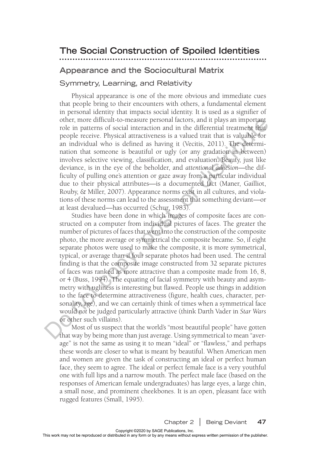# **The Social Construction of Spoiled Identities**

## **Appearance and the Sociocultural Matrix**

#### Symmetry, Learning, and Relativity

Physical appearance is one of the more obvious and immediate cues that people bring to their encounters with others, a fundamental element in personal identity that impacts social identity. It is used as a signifier of other, more difficult-to-measure personal factors, and it plays an important role in patterns of social interaction and in the differential treatment that people receive. Physical attractiveness is a valued trait that is valuable for an individual who is defined as having it (Vecitis, 2011). The determination that someone is beautiful or ugly (or any gradation in between) involves selective viewing, classification, and evaluation. Beauty, just like deviance, is in the eye of the beholder, and *attentional adhesion*—the difficulty of pulling one's attention or gaze away from a particular individual due to their physical attributes—is a documented fact (Maner, Gailliot, Rouby, & Miller, 2007). Appearance norms exist in all cultures, and violations of these norms can lead to the assessment that something deviant—or at least devalued—has occurred (Schur, 1983).

Studies have been done in which images of composite faces are constructed on a computer from individual pictures of faces. The greater the number of pictures of faces that went into the construction of the composite photo, the more average or symmetrical the composite became. So, if eight separate photos were used to make the composite, it is more symmetrical, typical, or average than if four separate photos had been used. The central finding is that the composite image constructed from 32 separate pictures of faces was ranked as more attractive than a composite made from 16, 8, or 4 (Buss, 1994). The equating of facial symmetry with beauty and asymmetry with ugliness is interesting but flawed. People use things in addition to the face to determine attractiveness (figure, health cues, character, personality, age), and we can certainly think of times when a symmetrical face would *not* be judged particularly attractive (think Darth Vader in *Star Wars*  or other such villains). other, more dilicul-to-measure personal lactors, and it plays an important<br>role in patterns of social interaction and in the differential treatment that<br>people receive. Physical attractiveness is a valued trait that is val

Most of us suspect that the world's "most beautiful people" have gotten that way by being more than just average. Using symmetrical to mean "average" is not the same as using it to mean "ideal" or "flawless," and perhaps these words are closer to what is meant by beautiful. When American men and women are given the task of constructing an ideal or perfect human face, they seem to agree. The ideal or perfect female face is a very youthful one with full lips and a narrow mouth. The perfect male face (based on the responses of American female undergraduates) has large eyes, a large chin, a small nose, and prominent cheekbones. It is an open, pleasant face with rugged features (Small, 1995).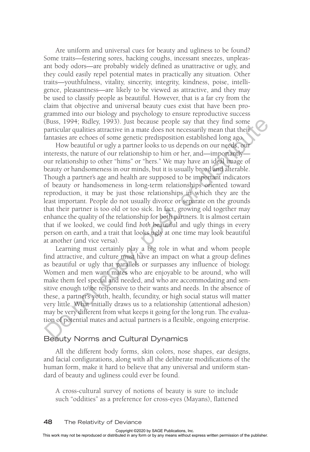Are uniform and universal cues for beauty and ugliness to be found? Some traits—festering sores, hacking coughs, incessant sneezes, unpleasant body odors—are probably widely defined as unattractive or ugly, and they could easily repel potential mates in practically any situation. Other traits—youthfulness, vitality, sincerity, integrity, kindness, poise, intelligence, pleasantness—are likely to be viewed as attractive, and they may be used to classify people as beautiful. However, that is a far cry from the claim that objective and universal beauty cues exist that have been programmed into our biology and psychology to ensure reproductive success (Buss, 1994; Ridley, 1993). Just because people say that they find some particular qualities attractive in a mate does not necessarily mean that their fantasies are echoes of some genetic predisposition established long ago.

How beautiful or ugly a partner looks to us depends on our needs, our interests, the nature of our relationship to him or her, and—importantly our relationship to other "hims" or "hers." We may have an ideal image of beauty or handsomeness in our minds, but it is usually broad and alterable. Though a partner's age and health are supposed to be important indicators of beauty or handsomeness in long-term relationships oriented toward reproduction, it may be just those relationships in which they are the least important. People do not usually divorce or separate on the grounds that their partner is too old or too sick. In fact, growing old together may enhance the quality of the relationship for both partners. It is almost certain that if we looked, we could find *both* beautiful and ugly things in every person on earth, and a trait that looks ugly at one time may look beautiful at another (and vice versa). (Buss, 1994; Ridley, 1993). Just because people say that they find some<br>particular qualities attractive in a mate does not necessarily mean that their<br>fantasies are echoses of some genetic predisposition established long a

Learning must certainly play a big role in what and whom people find attractive, and culture must have an impact on what a group defines as beautiful or ugly that parallels or surpasses any influence of biology. Women and men want mates who are enjoyable to be around, who will make them feel special and needed, and who are accommodating and sensitive enough to be responsive to their wants and needs. In the absence of these, a partner's youth, health, fecundity, or high social status will matter very little. What initially draws us to a relationship (attentional adhesion) may be very different from what keeps it going for the long run. The evaluation of potential mates and actual partners is a flexible, ongoing enterprise.

## Beauty Norms and Cultural Dynamics

All the different body forms, skin colors, nose shapes, ear designs, and facial configurations, along with all the deliberate modifications of the human form, make it hard to believe that any universal and uniform standard of beauty and ugliness could ever be found.

A cross-cultural survey of notions of beauty is sure to include such "oddities" as a preference for cross-eyes (Mayans), flattened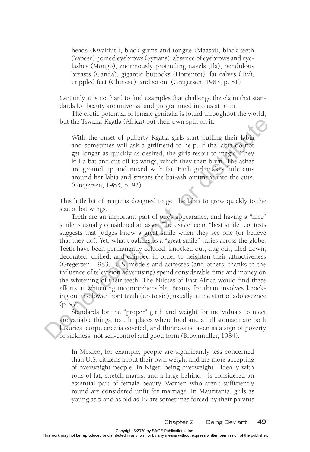heads (Kwakiutl), black gums and tongue (Maasai), black teeth (Yapese), joined eyebrows (Syrians), absence of eyebrows and eyelashes (Mongo), enormously protruding navels (Ila), pendulous breasts (Ganda), gigantic buttocks (Hottentot), fat calves (Tiv), crippled feet (Chinese), and so on. (Gregersen, 1983, p. 81)

Certainly, it is not hard to find examples that challenge the claim that standards for beauty are universal and programmed into us at birth.

The erotic potential of female genitalia is found throughout the world, but the Tswana-Kgatla (Africa) put their own spin on it:

With the onset of puberty Kgatla girls start pulling their labia and sometimes will ask a girlfriend to help. If the labia do not get longer as quickly as desired, the girls resort to magic. They kill a bat and cut off its wings, which they then burn. The ashes are ground up and mixed with fat. Each girl makes little cuts around her labia and smears the bat-ash ointment into the cuts. (Gregersen, 1983, p. 92)

This little bit of magic is designed to get the labia to grow quickly to the size of bat wings.

Teeth are an important part of one's appearance, and having a "nice" smile is usually considered an asset. The existence of "best smile" contests suggests that judges know a great smile when they see one (or believe that they do). Yet, what qualifies as a "great smile" varies across the globe. Teeth have been permanently colored, knocked out, dug out, filed down, decorated, drilled, and chipped in order to heighten their attractiveness (Gregersen, 1983). U.S. models and actresses (and others, thanks to the influence of television advertising) spend considerable time and money on the whitening of their teeth. The Nilotes of East Africa would find these efforts at whitening incomprehensible. Beauty for them involves knocking out the lower front teeth (up to six), usually at the start of adolescence (p. 97). but the Tswana-Kgatla (Africa) put their own spin on it.<br>
With the onset of puberty Kgatla girls start pulling their labia<br>
and sometimes will ask a griffired to help. If the labia domot<br>
get longer a quickly as desired, t

Standards for the "proper" girth and weight for individuals to meet are variable things, too. In places where food and a full stomach are both luxuries, corpulence is coveted, and thinness is taken as a sign of poverty or sickness, not self-control and good form (Brownmiller, 1984).

In Mexico, for example, people are significantly less concerned than U.S. citizens about their own weight and are more accepting of overweight people. In Niger, being overweight—ideally with rolls of fat, stretch marks, and a large behind—is considered an essential part of female beauty. Women who aren't sufficiently round are considered unfit for marriage. In Mauritania, girls as young as 5 and as old as 19 are sometimes forced by their parents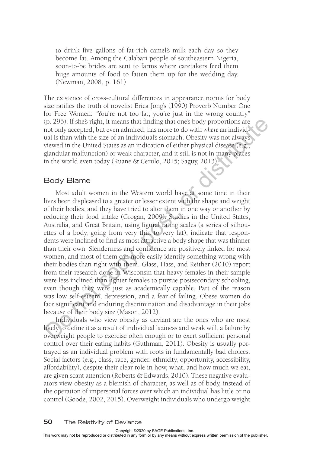to drink five gallons of fat-rich camel's milk each day so they become fat. Among the Calabari people of southeastern Nigeria, soon-to-be brides are sent to farms where caretakers feed them huge amounts of food to fatten them up for the wedding day. (Newman, 2008, p. 161)

The existence of cross-cultural differences in appearance norms for body size ratifies the truth of novelist Erica Jong's (1990) Proverb Number One for Free Women: "You're not too fat; you're just in the wrong country" (p. 296). If she's right, it means that finding that one's body proportions are not only accepted, but even admired, has more to do with *where* an individual is than with the size of an individual's stomach. Obesity was not always viewed in the United States as an indication of either physical disease (e.g., glandular malfunction) or weak character, and it still is not in many places in the world even today (Ruane & Cerulo, 2015; Saguy, 2013).

#### Body Blame

Most adult women in the Western world have at some time in their lives been displeased to a greater or lesser extent with the shape and weight of their bodies, and they have tried to alter them in one way or another by reducing their food intake (Grogan, 2009). Studies in the United States, Australia, and Great Britain, using figural rating scales (a series of silhouettes of a body, going from very thin to very fat), indicate that respondents were inclined to find as most attractive a body shape that was thinner than their own. Slenderness and confidence are positively linked for most women, and most of them can more easily identify something wrong with their bodies than right with them. Glass, Hass, and Reither (2010) report from their research done in Wisconsin that heavy females in their sample were less inclined than lighter females to pursue postsecondary schooling, even though they were just as academically capable. Part of the reason was low self-esteem, depression, and a fear of failing. Obese women do face significant and enduring discrimination and disadvantage in their jobs because of their body size (Mason, 2012). (p. 296). If she's right, it means that finding that one's body proportions are<br>not only accepted, but even admired, has more to do with where an individual<br>is than with the size of an individuals is tomach. Obesity was no

Individuals who view obesity as deviant are the ones who are most likely to define it as a result of individual laziness and weak will, a failure by overweight people to exercise often enough or to exert sufficient personal control over their eating habits (Guthman, 2011). Obesity is usually portrayed as an individual problem with roots in fundamentally bad choices. Social factors (e.g., class, race, gender, ethnicity, opportunity, accessibility, affordability), despite their clear role in how, what, and how much we eat, are given scant attention (Roberts & Edwards, 2010). These negative evaluators view obesity as a blemish of character, as well as of body, instead of the operation of impersonal forces over which an individual has little or no control (Goode, 2002, 2015). Overweight individuals who undergo weight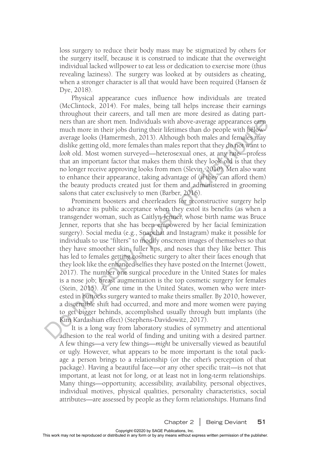loss surgery to reduce their body mass may be stigmatized by others for the surgery itself, because it is construed to indicate that the overweight individual lacked willpower to eat less or dedication to exercise more (thus revealing laziness). The surgery was looked at by outsiders as cheating, when a stronger character is all that would have been required (Hansen & Dye, 2018).

Physical appearance cues influence how individuals are treated (McClintock, 2014). For males, being tall helps increase their earnings throughout their careers, and tall men are more desired as dating partners than are short men. Individuals with above-average appearances earn much more in their jobs during their lifetimes than do people with belowaverage looks (Hamermesh, 2013). Although both males and females may dislike getting old, more females than males report that they do not want to *look* old. Most women surveyed—heterosexual ones, at any rate—profess that an important factor that makes them think they look old is that they no longer receive approving looks from men (Slevin, 2010). Men also want to enhance their appearance, taking advantage of (if they can afford them) the beauty products created just for them and administered in grooming salons that cater exclusively to men (Barber, 2016).

Prominent boosters and cheerleaders for reconstructive surgery help to advance its public acceptance when they extol its benefits (as when a transgender woman, such as Caitlyn Jenner, whose birth name was Bruce Jenner, reports that she has been empowered by her facial feminization surgery). Social media (e.g., Snapchat and Instagram) make it possible for individuals to use "filters" to modify onscreen images of themselves so that they have smoother skin, fuller lips, and noses that they like better. This has led to females getting cosmetic surgery to alter their faces enough that they look like the enhanced selfies they have posted on the Internet (Jowett, 2017). The number one surgical procedure in the United States for males is a nose job; breast augmentation is the top cosmetic surgery for females (Stein, 2015). At one time in the United States, women who were interested in buttocks surgery wanted to make theirs smaller. By 2010, however, a discernible shift had occurred, and more and more women were paying to get bigger behinds, accomplished usually through butt implants (the Kim Kardashian effect) (Stephens-Davidowitz, 2017). ners than are short men. Individuals with above-average appearances campuch more in their jobs during their lifetimes than do people with biglow average looks (Hamermesh, 2013). Although both males and females may dislike

It is a long way from laboratory studies of symmetry and attentional adhesion to the real world of finding and uniting with a desired partner. A few things—a very few things—*might* be universally viewed as beautiful or ugly. However, what appears to be more important is the total package a person brings to a relationship (or the other's perception of that package). Having a beautiful face—or any other specific trait—is not that important, at least not for long, or at least not in long-term relationships. Many things—opportunity, accessibility, availability, personal objectives, individual motives, physical qualities, personality characteristics, social attributes—are assessed by people as they form relationships. Humans find

Chapter 2 | Being Deviant **51**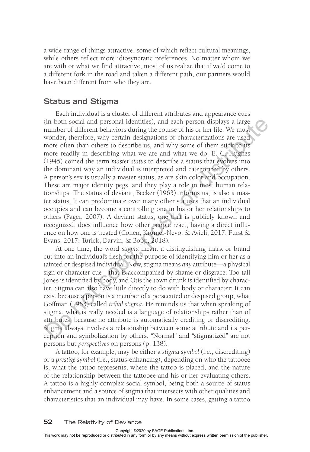a wide range of things attractive, some of which reflect cultural meanings, while others reflect more idiosyncratic preferences. No matter whom we are with or what we find attractive, most of us realize that if we'd come to a different fork in the road and taken a different path, our partners would have been different from who they are.

### **Status and Stigma**

Each individual is a cluster of different attributes and appearance cues (in both social and personal identities), and each person displays a large number of different behaviors during the course of his or her life. We must wonder, therefore, why certain designations or characterizations are used more often than others to describe us, and why some of them stick to us more readily in describing what we are and what we do. E. C. Hughes (1945) coined the term *master status* to describe a status that evolves into the dominant way an individual is interpreted and categorized by others. A person's sex is usually a master status, as are skin color and occupation. These are major identity pegs, and they play a role in most human relationships. The status of deviant, Becker (1963) informs us, is also a master status. It can predominate over many other statuses that an individual occupies and can become a controlling one in his or her relationships to others (Pager, 2007). A deviant status, one that is publicly known and recognized, does influence how other people react, having a direct influence on how one is treated (Cohen, Krumer-Nevo, & Avieli, 2017; Furst & Evans, 2017; Turick, Darvin, & Bopp, 2018). (in both social and personal identities), and each person displays a large<br>number of different behaviors during the course of his or her life. We must<br>during the comparities are used womder, therefore, why cerain designat

At one time, the word *stigma* meant a distinguishing mark or brand cut into an individual's flesh for the purpose of identifying him or her as a tainted or despised individual. Now, stigma means *any* attribute—a physical sign or character cue—that is accompanied by shame or disgrace. Too-tall Jones is identified by body, and Otis the town drunk is identified by character. Stigma can also have little directly to do with body or character: It can exist because a person is a member of a persecuted or despised group, what Goffman (1963) called *tribal stigma.* He reminds us that when speaking of stigma, what is really needed is a language of relationships rather than of attributes, because no attribute is automatically crediting or discrediting. Stigma always involves a relationship between some attribute and its perception and symbolization by others. "Normal" and "stigmatized" are not persons but *perspectives* on persons (p. 138).

A tattoo, for example, may be either a *stigma symbol* (i.e., discrediting) or a *prestige symbol* (i.e., status-enhancing), depending on who the tattooee is, what the tattoo represents, where the tattoo is placed, and the nature of the relationship between the tattooee and his or her evaluating others. A tattoo is a highly complex social symbol, being both a source of status enhancement and a source of stigma that intersects with other qualities and characteristics that an individual may have. In some cases, getting a tattoo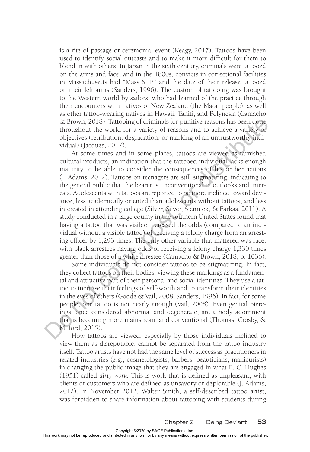is a rite of passage or ceremonial event (Keagy, 2017). Tattoos have been used to identify social outcasts and to make it more difficult for them to blend in with others. In Japan in the sixth century, criminals were tattooed on the arms and face, and in the 1800s, convicts in correctional facilities in Massachusetts had "Mass S. P." and the date of their release tattooed on their left arms (Sanders, 1996). The custom of tattooing was brought to the Western world by sailors, who had learned of the practice through their encounters with natives of New Zealand (the Maori people), as well as other tattoo-wearing natives in Hawaii, Tahiti, and Polynesia (Camacho & Brown, 2018). Tattooing of criminals for punitive reasons has been done throughout the world for a variety of reasons and to achieve a variety of objectives (retribution, degradation, or marking of an untrustworthy individual) (Jacques, 2017).

At some times and in some places, tattoos are viewed as tarnished cultural products, an indication that the tattooed individual lacks enough maturity to be able to consider the consequences of his or her actions (J. Adams, 2012). Tattoos on teenagers are still stigmatizing, indicating to the general public that the bearer is unconventional in outlooks and interests. Adolescents with tattoos are reported to be more inclined toward deviance, less academically oriented than adolescents without tattoos, and less interested in attending college (Silver, Silver, Siennick, & Farkas, 2011). A study conducted in a large county in the southern United States found that having a tattoo that was visible increased the odds (compared to an individual without a visible tattoo) of receiving a felony charge from an arresting officer by 1,293 times. The only other variable that mattered was race, with black arrestees having odds of receiving a felony charge 1,330 times greater than those of a white arrestee (Camacho & Brown, 2018, p. 1036).  $\&$  Brown, 2018). Tattooing of criminals for punitive reasons has been dome<br>throughout the words for variety of reasons and to achieve a variety of<br>objectives (retribution, degradation, or marking of an untrustworthly in

Some individuals do not consider tattoos to be stigmatizing. In fact, they collect tattoos on their bodies, viewing these markings as a fundamental and attractive part of their personal and social identities. They use a tattoo to increase their feelings of self-worth and to transform their identities in the eyes of others (Goode & Vail, 2008; Sanders, 1996). In fact, for some people, one tattoo is not nearly enough (Vail, 2008). Even genital piercings, once considered abnormal and degenerate, are a body adornment that is becoming more mainstream and conventional (Thomas, Crosby, & Milford, 2015).

How tattoos are viewed, especially by those individuals inclined to view them as disreputable, cannot be separated from the tattoo industry itself. Tattoo artists have not had the same level of success as practitioners in related industries (e.g., cosmetologists, barbers, beauticians, manicurists) in changing the public image that they are engaged in what E. C. Hughes (1951) called *dirty work.* This is work that is defined as unpleasant, with clients or customers who are defined as unsavory or deplorable (J. Adams, 2012). In November 2012, Walter Smith, a self-described tattoo artist, was forbidden to share information about tattooing with students during

Chapter 2 | Being Deviant **53**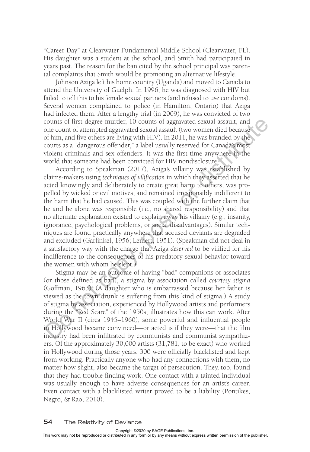"Career Day" at Clearwater Fundamental Middle School (Clearwater, FL). His daughter was a student at the school, and Smith had participated in years past. The reason for the ban cited by the school principal was parental complaints that Smith would be promoting an alternative lifestyle.

Johnson Aziga left his home country (Uganda) and moved to Canada to attend the University of Guelph. In 1996, he was diagnosed with HIV but failed to tell this to his female sexual partners (and refused to use condoms). Several women complained to police (in Hamilton, Ontario) that Aziga had infected them. After a lengthy trial (in 2009), he was convicted of two counts of first-degree murder, 10 counts of aggravated sexual assault, and one count of attempted aggravated sexual assault (two women died because of him, and five others are living with HIV). In 2011, he was branded by the courts as a "dangerous offender," a label usually reserved for Canada's most violent criminals and sex offenders. It was the first time anywhere in the world that someone had been convicted for HIV nondisclosure.

According to Speakman (2017), Aziga's villainy was established by claims-makers using *techniques of vilification* in which they asserted that he acted knowingly and deliberately to create great harm to others, was propelled by wicked or evil motives, and remained irresponsibly indifferent to the harm that he had caused. This was coupled with the further claim that he and he alone was responsible (i.e., no shared responsibility) and that no alternate explanation existed to explain away his villainy (e.g., insanity, ignorance, psychological problems, or social disadvantages). Similar techniques are found practically anywhere that accused deviants are degraded and excluded (Garfinkel, 1956; Lemert, 1951). (Speakman did not deal in a satisfactory way with the charge that Aziga *deserved* to be vilified for his indifference to the consequences of his predatory sexual behavior toward the women with whom he slept.) counts of first-degree murder, 10 counts of aggravated sexual assault, and<br>one count of attempted aggravated sexual assault, two women died because<br>of bim, and five others are living with HIV). in 2011, he was branded by t

Stigma may be an outcome of having "bad" companions or associates (or those defined as bad), a stigma by association called *courtesy stigma*  (Goffman, 1963). (A daughter who is embarrassed because her father is viewed as the town drunk is suffering from this kind of stigma.) A study of stigma by association, experienced by Hollywood artists and performers during the "Red Scare" of the 1950s, illustrates how this can work. After World War II (circa 1945–1960), some powerful and influential people in Hollywood became convinced—or acted is if they were—that the film industry had been infiltrated by communists and communist sympathizers. Of the approximately 30,000 artists (31,781, to be exact) who worked in Hollywood during those years, 300 were officially blacklisted and kept from working. Practically anyone who had any connections with them, no matter how slight, also became the target of persecution. They, too, found that they had trouble finding work. One contact with a tainted individual was usually enough to have adverse consequences for an artist's career. Even contact with a blacklisted writer proved to be a liability (Pontikes, Negro, & Rao, 2010).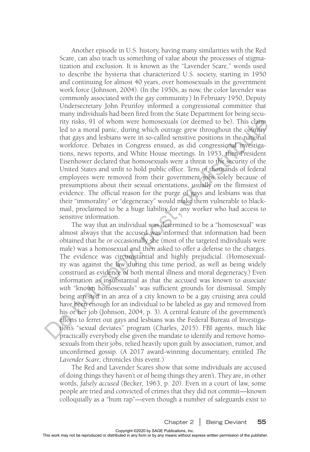Another episode in U.S. history, having many similarities with the Red Scare, can also teach us something of value about the processes of stigmatization and exclusion. It is known as the "Lavender Scare," words used to describe the hysteria that characterized U.S. society, starting in 1950 and continuing for almost 40 years, over homosexuals in the government work force (Johnson, 2004). (In the 1950s, as now, the color lavender was commonly associated with the gay community.) In February 1950, Deputy Undersecretary John Peurifoy informed a congressional committee that many individuals had been fired from the State Department for being security risks, 91 of whom were homosexuals (or deemed to be). This claim led to a moral panic, during which outrage grew throughout the country that gays and lesbians were in so-called sensitive positions in the national workforce. Debates in Congress ensued, as did congressional investigations, news reports, and White House meetings. In 1953, then-President Eisenhower declared that homosexuals were a threat to the security of the United States and unfit to hold public office. Tens of thousands of federal employees were removed from their government jobs solely because of presumptions about their sexual orientations, usually on the flimsiest of evidence. The official reason for the purge of gays and lesbians was that their "immorality" or "degeneracy" would make them vulnerable to blackmail, proclaimed to be a huge liability for any worker who had access to sensitive information.

The way that an individual was determined to be a "homosexual" was almost always that the accused was informed that information had been obtained that he or occasionally she (most of the targeted individuals were male) was a homosexual and then asked to offer a defense to the charges. The evidence was circumstantial and highly prejudicial. (Homosexuality was against the law during this time period, as well as being widely construed as evidence of both mental illness and moral degeneracy.) Even information as insubstantial as that the accused was known to *associate with* "known homosexuals" was sufficient grounds for dismissal. Simply being arrested in an area of a city known to be a gay cruising area could have been enough for an individual to be labeled as gay and removed from his or her job (Johnson, 2004, p. 3). A central feature of the government's efforts to ferret out gays and lesbians was the Federal Bureau of Investigation's "sexual deviates" program (Charles, 2015). FBI agents, much like practically everybody else given the mandate to identify and remove homosexuals from their jobs, relied heavily upon guilt by association, rumor, and unconfirmed gossip. (A 2017 award-winning documentary, entitled *The Lavender Scare,* chronicles this event.) rity risks, 91 of whom were homosexuals (or deemed to be). This claimed to a moral panic, during early througge grew througges througged to a moral panic surface and Winde Houses in Congress ensued, as did congressional in

The Red and Lavender Scares show that some individuals are accused of doing things they haven't or of being things they aren't. They are, in other words, *falsely accused* (Becker, 1963, p. 20). Even in a court of law, some people are tried and convicted of crimes that they did not commit—known colloquially as a "bum rap"—even though a number of safeguards exist to

Chapter 2 | Being Deviant **55**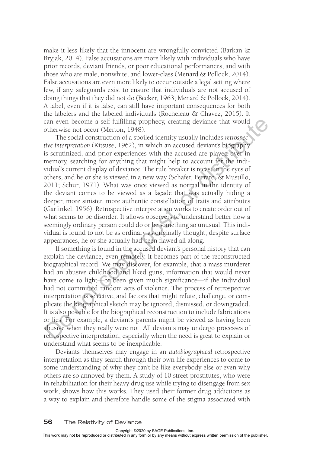make it less likely that the innocent are wrongfully convicted (Barkan & Bryjak, 2014). False accusations are more likely with individuals who have prior records, deviant friends, or poor educational performances, and with those who are male, nonwhite, and lower-class (Menard & Pollock, 2014). False accusations are even more likely to occur outside a legal setting where few, if any, safeguards exist to ensure that individuals are not accused of doing things that they did not do (Becker, 1963; Menard & Pollock, 2014). A label, even if it is false, can still have important consequences for both the labelers and the labeled individuals (Rocheleau & Chavez, 2015). It can even become a self-fulfilling prophecy, creating deviance that would otherwise not occur (Merton, 1948).

The social construction of a spoiled identity usually includes *retrospective interpretation* (Kitsuse, 1962), in which an accused deviant's biography is scrutinized, and prior experiences with the accused are played over in memory, searching for anything that might help to account for the individual's current display of deviance. The rule breaker is recast in the eyes of others, and he or she is viewed in a new way (Schafer, Ferraro, & Mustillo, 2011; Schur, 1971). What was once viewed as normal in the identity of the deviant comes to be viewed as a façade that was actually hiding a deeper, more sinister, more authentic constellation of traits and attributes (Garfinkel, 1956). Retrospective interpretation works to create order out of what seems to be disorder. It allows observers to understand better how a seemingly ordinary person could do or be something so unusual. This individual is found to not be as ordinary as originally thought; despite surface appearances, he or she actually had been flawed all along. can even become a self-fulfilling prophecy, creating deviance that would<br>
where not cocur (Metron, 1948).<br>
The social construction of a spoiled identity usually includes *retrospec-*<br>
tive interpretation (Kitsuse, 1962), i

If something is found in the accused deviant's personal history that can explain the deviance, even remotely, it becomes part of the reconstructed biographical record. We may discover, for example, that a mass murderer had an abusive childhood and liked guns, information that would never have come to light—or been given much significance—if the individual had not committed random acts of violence. The process of retrospective interpretation is selective, and factors that might refute, challenge, or complicate the biographical sketch may be ignored, dismissed, or downgraded. It is also possible for the biographical reconstruction to include fabrications or lies. For example, a deviant's parents might be viewed as having been abusive when they really were not. All deviants may undergo processes of retrospective interpretation, especially when the need is great to explain or understand what seems to be inexplicable.

Deviants themselves may engage in an *autobiographical* retrospective interpretation as they search through their own life experiences to come to some understanding of why they can't be like everybody else or even why others are so annoyed by them. A study of 10 street prostitutes, who were in rehabilitation for their heavy drug use while trying to disengage from sex work, shows how this works. They used their former drug addictions as a way to explain and therefore handle some of the stigma associated with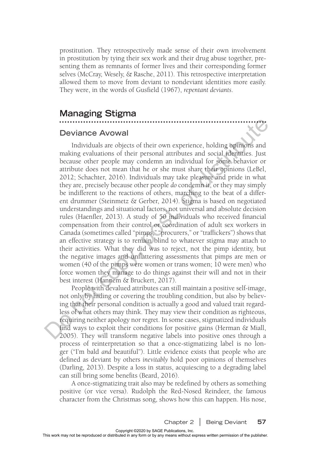prostitution. They retrospectively made sense of their own involvement in prostitution by tying their sex work and their drug abuse together, presenting them as remnants of former lives and their corresponding former selves (McCray, Wesely, & Rasche, 2011). This retrospective interpretation allowed them to move from deviant to nondeviant identities more easily. They were, in the words of Gusfield (1967), *repentant deviants*.

# **Managing Stigma**

#### **Deviance Avowal**

Individuals are objects of their own experience, holding opinions and making evaluations of their personal attributes and social identities. Just because other people may condemn an individual for some behavior or attribute does not mean that he or she must share their opinions (LeBel, 2012; Schachter, 2016). Individuals may take pleasure and pride in what they are, precisely because other people *do* condemn it, or they may simply be indifferent to the reactions of others, marching to the beat of a different drummer (Steinmetz & Gerber, 2014). Stigma is based on negotiated understandings and situational factors, not universal and absolute decision rules (Haenfler, 2013). A study of 50 individuals who received financial compensation from their control or coordination of adult sex workers in Canada (sometimes called "pimps," "procurers," or "traffickers") shows that an effective strategy is to remain blind to whatever stigma may attach to their activities. What they did was to reject, not the pimp identity, but the negative images and unflattering assessments that pimps are men or women (40 of the pimps were women or trans women; 10 were men) who force women they manage to do things against their will and not in their best interest (Hannem & Bruckert, 2017). **Deviance Avowal**<br> **Deviance Avowal**<br>
Individuals are objects of their own experience, holding optimons and<br>
making evaluations of their personal attributes and social delenties. Just<br>
because other people may condemn an i

People with devalued attributes can still maintain a positive self-image, not only by hiding or covering the troubling condition, but also by believing that their personal condition is actually a good and valued trait regardless of what others may think. They may view their condition as righteous, requiring neither apology nor regret. In some cases, stigmatized individuals find ways to exploit their conditions for positive gains (Herman & Miall, 2005). They will transform negative labels into positive ones through a process of reinterpretation so that a once-stigmatizing label is no longer ("I'm bald *and* beautiful"). Little evidence exists that people who are defined as deviant by others *inevitably* hold poor opinions of themselves (Darling, 2013). Despite a loss in status, acquiescing to a degrading label can still bring some benefits (Beard, 2016).

A once-stigmatizing trait also may be redefined by others as something positive (or vice versa). Rudolph the Red-Nosed Reindeer, the famous character from the Christmas song, shows how this can happen. His nose,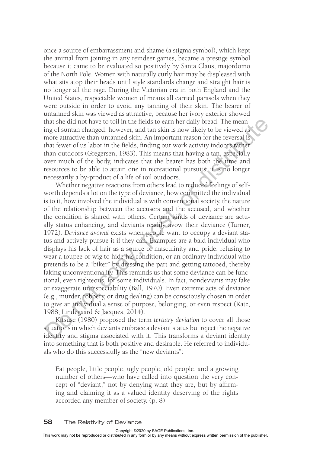once a source of embarrassment and shame (a stigma symbol), which kept the animal from joining in any reindeer games, became a prestige symbol because it came to be evaluated so positively by Santa Claus, majordomo of the North Pole. Women with naturally curly hair may be displeased with what sits atop their heads until style standards change and straight hair is no longer all the rage. During the Victorian era in both England and the United States, respectable women of means all carried parasols when they were outside in order to avoid any tanning of their skin. The bearer of untanned skin was viewed as attractive, because her ivory exterior showed that she did not have to toil in the fields to earn her daily bread. The meaning of suntan changed, however, and tan skin is now likely to be viewed as more attractive than untanned skin. An important reason for the reversal is that fewer of us labor in the fields, finding our work activity indoors rather than outdoors (Gregersen, 1983). This means that having a tan, especially over much of the body, indicates that the bearer has both the time and resources to be able to attain one in recreational pursuits; it is no longer necessarily a by-product of a life of toil outdoors.

Whether negative reactions from others lead to reduced feelings of selfworth depends a lot on the type of deviance, how committed the individual is to it, how involved the individual is with conventional society, the nature of the relationship between the accusers and the accused, and whether the condition is shared with others. Certain kinds of deviance are actually status enhancing, and deviants readily avow their deviance (Turner, 1972). *Deviance avowal* exists when people want to occupy a deviant status and actively pursue it if they can. Examples are a bald individual who displays his lack of hair as a source of masculinity and pride, refusing to wear a toupee or wig to hide his condition, or an ordinary individual who pretends to be a "biker" by dressing the part and getting tattooed, thereby faking unconventionality. This reminds us that some deviance can be functional, even righteous, for some individuals. In fact, nondeviants may fake or exaggerate unrespectability (Ball, 1970). Even extreme acts of deviance (e.g., murder, robbery, or drug dealing) can be consciously chosen in order to give an individual a sense of purpose, belonging, or even respect (Katz, 1988; Lindegaard & Jacques, 2014). that she did not have to toil in the fields to earn her daily bread. The mean-<br>ing of suntan changed, however, and tan skin is now likely to be viewed as<br>fimore attractive than untamed skin. An important reason for the rev

Kitsuse (1980) proposed the term *tertiary deviation* to cover all those situations in which deviants embrace a deviant status but reject the negative identity and stigma associated with it. This transforms a deviant identity into something that is both positive and desirable. He referred to individuals who do this successfully as the "new deviants":

Fat people, little people, ugly people, old people, and a growing number of others—who have called into question the very concept of "deviant," not by denying what they are, but by affirming and claiming it as a valued identity deserving of the rights accorded any member of society. (p. 8)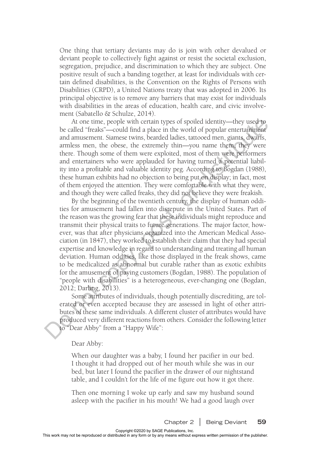One thing that tertiary deviants may do is join with other devalued or deviant people to collectively fight against or resist the societal exclusion, segregation, prejudice, and discrimination to which they are subject. One positive result of such a banding together, at least for individuals with certain defined disabilities, is the Convention on the Rights of Persons with Disabilities (CRPD), a United Nations treaty that was adopted in 2006. Its principal objective is to remove any barriers that may exist for individuals with disabilities in the areas of education, health care, and civic involvement (Sabatello & Schulze, 2014).

At one time, people with certain types of spoiled identity—they used to be called "freaks"—could find a place in the world of popular entertainment and amusement. Siamese twins, bearded ladies, tattooed men, giants, dwarfs, armless men, the obese, the extremely thin—you name them, they were there. Though some of them were exploited, most of them were performers and entertainers who were applauded for having turned a potential liability into a profitable and valuable identity peg. According to Bogdan (1988), these human exhibits had no objection to being put on display; in fact, most of them enjoyed the attention. They were comfortable with what they were, and though they were called freaks, they did not believe they were freakish.

By the beginning of the twentieth century, the display of human oddities for amusement had fallen into disrepute in the United States. Part of the reason was the growing fear that these individuals might reproduce and transmit their physical traits to future generations. The major factor, however, was that after physicians organized into the American Medical Association (in 1847), they worked to establish their claim that they had special expertise and knowledge in regard to understanding and treating *all* human deviation. Human oddities, like those displayed in the freak shows, came to be medicalized as abnormal but curable rather than as exotic exhibits for the amusement of paying customers (Bogdan, 1988). The population of "people with disabilities" is a heterogeneous, ever-changing one (Bogdan, 2012; Darling, 2013). At one time, people with certain types of spoiled identity—they used to ealed "freaks"—could find a place in the world of popular entertainment and ansies men, the obse, the extremely thin—you name them, they we there. Th

Some attributes of individuals, though potentially discrediting, are tolerated or even accepted because they are assessed in light of other attributes of these same individuals. A different cluster of attributes would have produced very different reactions from others. Consider the following letter to "Dear Abby" from a "Happy Wife":

#### Dear Abby:

When our daughter was a baby, I found her pacifier in our bed. I thought it had dropped out of her mouth while she was in our bed, but later I found the pacifier in the drawer of our nightstand table, and I couldn't for the life of me figure out how it got there.

Then one morning I woke up early and saw my husband sound asleep with the pacifier in his mouth! We had a good laugh over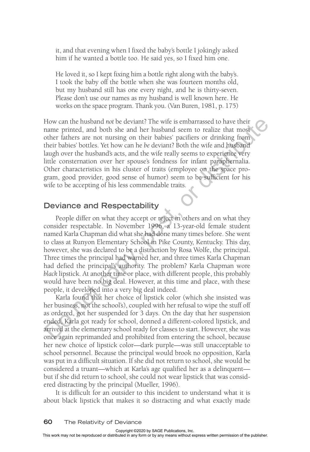it, and that evening when I fixed the baby's bottle I jokingly asked him if he wanted a bottle too. He said yes, so I fixed him one.

He loved it, so I kept fixing him a bottle right along with the baby's. I took the baby off the bottle when she was fourteen months old, but my husband still has one every night, and he is thirty-seven. Please don't use our names as my husband is well known here. He works on the space program. Thank you. (Van Buren, 1981, p. 175)

How can the husband *not* be deviant? The wife is embarrassed to have their name printed, and both she and her husband seem to realize that most other fathers are not nursing on their babies' pacifiers or drinking from their babies' bottles. Yet how can he *be* deviant? Both the wife and husband laugh over the husband's acts, and the wife really seems to experience very little consternation over her spouse's fondness for infant paraphernalia. Other characteristics in his cluster of traits (employee on the space program, good provider, good sense of humor) seem to be sufficient for his wife to be accepting of his less commendable traits.

## **Deviance and Respectability**

People differ on what they accept or reject in others and on what they consider respectable. In November 1996, a 13-year-old female student named Karla Chapman did what she had done many times before. She went to class at Runyon Elementary School in Pike County, Kentucky. This day, however, she was declared to be a distraction by Rosa Wolfe, the principal. Three times the principal had warned her, and three times Karla Chapman had defied the principal's authority. The problem? Karla Chapman wore *black* lipstick. At another time or place, with different people, this probably would have been no big deal. However, at this time and place, with these people, it developed into a very big deal indeed. How can the husband *not* be deviant? The wife is embarrassed to have their<br>name printed, and both she and her husband seem to realize tak moss<br>their rathers are not nursing on their babies' pacifiers or drinking from<br>thei

Karla found that her choice of lipstick color (which she insisted was her business, not the school's), coupled with her refusal to wipe the stuff off as ordered, got her suspended for 3 days. On the day that her suspension ended, Karla got ready for school, donned a different-colored lipstick, and arrived at the elementary school ready for classes to start. However, she was once again reprimanded and prohibited from entering the school, because her new choice of lipstick color—dark purple—was still unacceptable to school personnel. Because the principal would brook no opposition, Karla was put in a difficult situation. If she did not return to school, she would be considered a truant—which at Karla's age qualified her as a delinquent but if she did return to school, she could not wear lipstick that was considered distracting by the principal (Mueller, 1996).

It is difficult for an outsider to this incident to understand what it is about black lipstick that makes it so distracting and what exactly made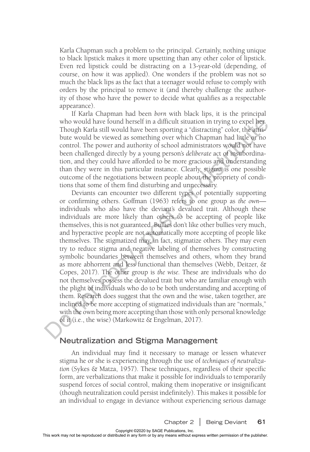Karla Chapman such a problem to the principal. Certainly, nothing unique to black lipstick makes it more upsetting than any other color of lipstick. Even red lipstick could be distracting on a 13-year-old (depending, of course, on how it was applied). One wonders if the problem was not so much the black lips as the fact that a teenager would refuse to comply with orders by the principal to remove it (and thereby challenge the authority of those who have the power to decide what qualifies as a respectable appearance).

If Karla Chapman had been *born* with black lips, it is the principal who would have found herself in a difficult situation in trying to expel her. Though Karla still would have been sporting a "distracting" color, the attribute would be viewed as something over which Chapman had little or no control. The power and authority of school administrators would not have been challenged directly by a young person's *deliberate* act of insubordination, and they could have afforded to be more gracious and understanding than they were in this particular instance. Clearly, stigma is one possible outcome of the negotiations between people about the propriety of conditions that some of them find disturbing and unnecessary.

Deviants can encounter two different types of potentially supporting or confirming others. Goffman (1963) refers to one group as *the own* individuals who also have the deviant's devalued trait. Although these individuals are more likely than others to be accepting of people like themselves, this is not guaranteed. Bullies don't like other bullies very much, and hyperactive people are not automatically more accepting of people like themselves. The stigmatized may, in fact, stigmatize others. They may even try to reduce stigma and negative labeling of themselves by constructing symbolic boundaries between themselves and others, whom they brand as more abhorrent and less functional than themselves (Webb, Deitzer, & Copes, 2017). The other group is *the wise.* These are individuals who do not themselves possess the devalued trait but who are familiar enough with the plight of individuals who do to be both understanding and accepting of them. Research does suggest that the own and the wise, taken together, are inclined to be more accepting of stigmatized individuals than are "normals," with the own being more accepting than those with only personal knowledge of it (i.e., the wise) (Markowitz & Engelman, 2017). who would have found herself in a difficult situation in trying to expel her Though Karls still would have been sporting a "distracting" color, the atmostration but we would be viewed as something over which Chapman had l

## **Neutralization and Stigma Management**

An individual may find it necessary to manage or lessen whatever stigma he or she is experiencing through the use of *techniques of neutralization* (Sykes & Matza, 1957). These techniques, regardless of their specific form, are verbalizations that make it possible for individuals to temporarily suspend forces of social control, making them inoperative or insignificant (though neutralization could persist indefinitely). This makes it possible for an individual to engage in deviance without experiencing serious damage

Chapter 2 | Being Deviant **61**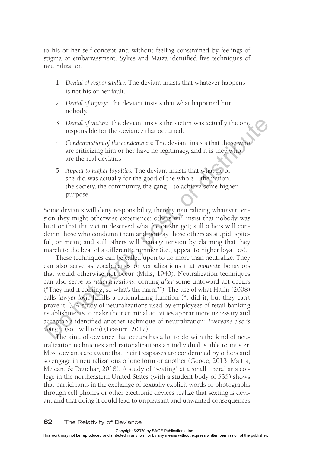to his or her self-concept and without feeling constrained by feelings of stigma or embarrassment. Sykes and Matza identified five techniques of neutralization:

- 1. *Denial of responsibility:* The deviant insists that whatever happens is not his or her fault.
- 2. *Denial of injury:* The deviant insists that what happened hurt nobody.
- 3. *Denial of victim:* The deviant insists the victim was actually the one responsible for the deviance that occurred.
- 4. *Condemnation of the condemners:* The deviant insists that those who are criticizing him or her have no legitimacy, and it is they who are the real deviants.
- 5. *Appeal to higher loyalties:* The deviant insists that what he or she did was actually for the good of the whole—the nation, the society, the community, the gang—to achieve some higher purpose.

Some deviants will deny responsibility, thereby neutralizing whatever tension they might otherwise experience; others will insist that nobody was hurt or that the victim deserved what he or she got; still others will condemn those who condemn them and portray those others as stupid, spiteful, or mean; and still others will manage tension by claiming that they march to the beat of a different drummer (i.e., appeal to higher loyalties).

These techniques can be called upon to do more than neutralize. They can also serve as vocabularies or verbalizations that *motivate* behaviors that would otherwise not occur (Mills, 1940). Neutralization techniques can also serve as *rationalizations*, coming *after* some untoward act occurs ("They had it coming, so what's the harm?"). The use of what Hitlin (2008) calls *lawyer logic* fulfills a rationalizing function ("I did it, but they can't prove it."). A study of neutralizations used by employees of retail banking establishments to make their criminal activities appear more necessary and acceptable identified another technique of neutralization: *Everyone else is doing it* (so I will too) (Leasure, 2017). 3. Denial of victim: The deviant insists the victim was actually the one<br>responsible for the deviance that occurred.<br>4. Condemnation of the condemners: The deviant insists that those who<br>are criticizing him or her have no

The kind of deviance that occurs has a lot to do with the kind of neutralization techniques and rationalizations an individual is able to muster. Most deviants are aware that their trespasses are condemned by others and so engage in neutralizations of one form or another (Goode, 2013; Maitra, Mclean, & Deuchar, 2018). A study of "sexting" at a small liberal arts college in the northeastern United States (with a student body of 535) shows that participants in the exchange of sexually explicit words or photographs through cell phones or other electronic devices realize that sexting is deviant and that doing it could lead to unpleasant and unwanted consequences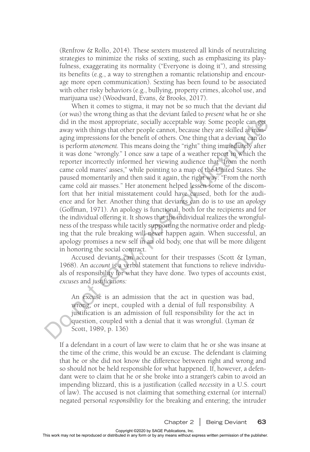(Renfrow & Rollo, 2014). These sexters mustered all kinds of neutralizing strategies to minimize the risks of sexting, such as emphasizing its playfulness, exaggerating its normality ("Everyone is doing it"), and stressing its benefits (e.g., a way to strengthen a romantic relationship and encourage more open communication). Sexting has been found to be associated with other risky behaviors (e.g., bullying, property crimes, alcohol use, and marijuana use) (Woodward, Evans, & Brooks, 2017).

When it comes to stigma, it may not be so much that the deviant *did*  (or *was*) the wrong thing as that the deviant failed to *present* what he or she did in the most appropriate, socially acceptable way. Some people can get away with things that other people cannot, because they are skilled at managing impressions for the benefit of others. One thing that a deviant can do is perform *atonement.* This means doing the "right" thing immediately after it was done "wrongly." I once saw a tape of a weather report in which the reporter incorrectly informed her viewing audience that "from the north came cold mares' asses," while pointing to a map of the United States. She paused momentarily and then said it again, the right way: "From the north came cold air masses." Her atonement helped lessen some of the discomfort that her initial misstatement could have caused, both for the audience and for her. Another thing that deviants can do is to use an *apology*  (Goffman, 1971). An apology is functional, both for the recipients and for the individual offering it. It shows that the individual realizes the wrongfulness of the trespass while tacitly supporting the normative order and pledging that the rule breaking will never happen again. When successful, an apology promises a new self in an old body, one that will be more diligent in honoring the social contract. did in the most appropriate, socially acceptable way. Some people can,<br>get<br>away with things that other people cannot, because they are skilled a<br><sup>a</sup> may might that the seption dones to the benefit of others. One thing tha

Accused deviants can account for their trespasses (Scott & Lyman, 1968). An *account* is a verbal statement that functions to relieve individuals of responsibility for what they have done. Two types of accounts exist, *excuses* and *justifications:*

An excuse is an admission that the act in question was bad, wrong, or inept, coupled with a denial of full responsibility. A justification is an admission of full responsibility for the act in question, coupled with a denial that it was wrongful. (Lyman & Scott, 1989, p. 136)

If a defendant in a court of law were to claim that he or she was insane at the time of the crime, this would be an excuse. The defendant is claiming that he or she did not know the difference between right and wrong and so should not be held responsible for what happened. If, however, a defendant were to claim that he or she broke into a stranger's cabin to avoid an impending blizzard, this is a justification (called *necessity* in a U.S. court of law). The accused is not claiming that something external (or internal) negated personal *responsibility* for the breaking and entering; the intruder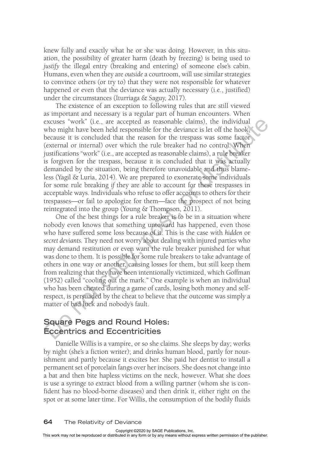knew fully and exactly what he or she was doing. However, in this situation, the possibility of greater harm (death by freezing) is being used to *justify* the illegal entry (breaking and entering) of someone else's cabin. Humans, even when they are *outside* a courtroom, will use similar strategies to convince others (or try to) that they were not responsible for whatever happened or even that the deviance was actually necessary (i.e., justified) under the circumstances (Iturriaga & Saguy, 2017).

The existence of an exception to following rules that are still viewed as important and necessary is a regular part of human encounters. When excuses "work" (i.e., are accepted as reasonable claims), the individual who might have been held responsible for the deviance is let off the hook, because it is concluded that the reason for the trespass was some factor (external or internal) over which the rule breaker had no control. When justifications "work" (i.e., are accepted as reasonable claims), a rule breaker is forgiven for the trespass, because it is concluded that it was actually demanded by the situation, being therefore unavoidable and thus blameless (Yagil & Luria, 2014). We are prepared to exonerate some individuals for some rule breaking *if* they are able to account for these trespasses in acceptable ways. Individuals who refuse to offer accounts to others for their trespasses—or fail to apologize for them—face the prospect of not being reintegrated into the group (Young & Thompson, 2011). excuses "work" (i.e., are accepted as reasonable claims), the individual<br>who might have been held responsible for the devance is let off the hooks<br>because it is concluded that the reason for the trespass was some factor<br>(e

One of the best things for a rule breaker is to be in a situation where nobody even knows that something untoward has happened, even those who have suffered some loss because of it. This is the case with *hidden* or *secret deviants.* They need not worry about dealing with injured parties who may demand restitution or even want the rule breaker punished for what was done to them. It is possible for some rule breakers to take advantage of others in one way or another, causing losses for them, but still keep them from realizing that they have been intentionally victimized, which Goffman (1952) called "cooling out the mark." One example is when an individual who has been cheated during a game of cards, losing both money and selfrespect, is persuaded by the cheat to believe that the outcome was simply a matter of bad luck and nobody's fault.

# **Square Pegs and Round Holes: Eccentrics and Eccentricities**

Danielle Willis is a vampire, or so she claims. She sleeps by day; works by night (she's a fiction writer); and drinks human blood, partly for nourishment and partly because it excites her. She paid her dentist to install a permanent set of porcelain fangs over her incisors. She does not change into a bat and then bite hapless victims on the neck, however. What she does is use a syringe to extract blood from a willing partner (whom she is confident has no blood-borne diseases) and then drink it, either right on the spot or at some later time. For Willis, the consumption of the bodily fluids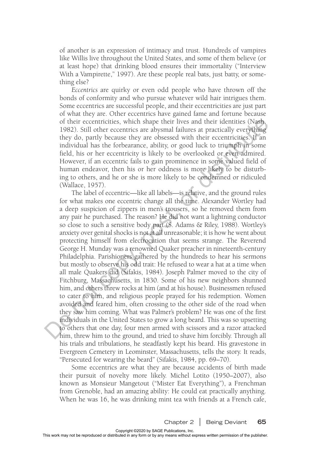of another is an expression of intimacy and trust. Hundreds of vampires like Willis live throughout the United States, and some of them believe (or at least hope) that drinking blood ensures their immortality ("Interview With a Vampirette," 1997). Are these people real bats, just batty, or something else?

*Eccentrics* are quirky or even odd people who have thrown off the bonds of conformity and who pursue whatever wild hair intrigues them. Some eccentrics are successful people, and their eccentricities are just part of what they are. Other eccentrics have gained fame and fortune because of their eccentricities, which shape their lives and their identities (Nash, 1982). Still other eccentrics are abysmal failures at practically everything they do, partly because they are obsessed with their eccentricities. If an individual has the forbearance, ability, or good luck to triumph in some field, his or her eccentricity is likely to be overlooked or even admired. However, if an eccentric fails to gain prominence in some valued field of human endeavor, then his or her oddness is more likely to be disturbing to others, and he or she is more likely to be condemned or ridiculed (Wallace, 1957).

The label of eccentric—like all labels—is relative, and the ground rules for what makes one eccentric change all the time. Alexander Wortley had a deep suspicion of zippers in men's trousers, so he removed them from any pair he purchased. The reason? He did not want a lightning conductor so close to such a sensitive body part (S. Adams & Riley, 1988). Wortley's anxiety over genital shocks is not at all unreasonable; it is how he went about protecting himself from electrocution that seems strange. The Reverend George H. Munday was a renowned Quaker preacher in nineteenth-century Philadelphia. Parishioners gathered by the hundreds to hear his sermons but mostly to observe his odd trait: He refused to wear a hat at a time when all male Quakers did (Sifakis, 1984). Joseph Palmer moved to the city of Fitchburg, Massachusetts, in 1830. Some of his new neighbors shunned him, and others threw rocks at him (and at his house). Businessmen refused to cater to him, and religious people prayed for his redemption. Women avoided and feared him, often crossing to the other side of the road when they saw him coming. What was Palmer's problem? He was one of the first individuals in the United States to grow a long beard. This was so upsetting to others that one day, four men armed with scissors and a razor attacked him, threw him to the ground, and tried to shave him forcibly. Through all his trials and tribulations, he steadfastly kept his beard. His gravestone in Evergreen Cemetery in Leominster, Massachusetts, tells the story. It reads, "Persecuted for wearing the beard" (Sifakis, 1984, pp. 69–70). of their eccentricities, which shape their lives and their identities (Nash, 1982). Still other eccentrics are abysmal failures at practically everything they do, partly because they are obsessed with their eccentricities.

Some eccentrics are what they are because accidents of birth made their pursuit of novelty more likely. Michel Lotito (1950–2007), also known as Monsieur Mangetout ("Mister Eat Everything"), a Frenchman from Grenoble, had an amazing ability: He could eat practically anything. When he was 16, he was drinking mint tea with friends at a French cafe,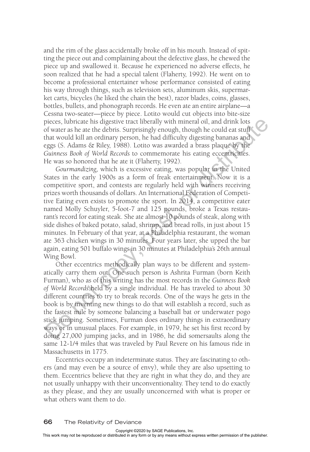and the rim of the glass accidentally broke off in his mouth. Instead of spitting the piece out and complaining about the defective glass, he chewed the piece up and swallowed it. Because he experienced no adverse effects, he soon realized that he had a special talent (Flaherty, 1992). He went on to become a professional entertainer whose performance consisted of eating his way through things, such as television sets, aluminum skis, supermarket carts, bicycles (he liked the chain the best), razor blades, coins, glasses, bottles, bullets, and phonograph records. He even ate an entire airplane—a Cessna two-seater—piece by piece. Lotito would cut objects into bite-size pieces, lubricate his digestive tract liberally with mineral oil, and drink lots of water as he ate the debris. Surprisingly enough, though he could eat stuff that would kill an ordinary person, he had difficulty digesting bananas and eggs (S. Adams & Riley, 1988). Lotito was awarded a brass plaque by the *Guinness Book of World Records* to commemorate his eating eccentricities. He was so honored that he ate it (Flaherty, 1992).

*Gourmandizing,* which is excessive eating, was popular in the United States in the early 1900s as a form of freak entertainment. Now it is a competitive sport, and contests are regularly held with winners receiving prizes worth thousands of dollars. An International Federation of Competitive Eating even exists to promote the sport. In 2014, a competitive eater named Molly Schuyler, 5-foot-7 and 125 pounds, broke a Texas restaurant's record for eating steak. She ate almost 10 pounds of steak, along with side dishes of baked potato, salad, shrimp, and bread rolls, in just about 15 minutes. In February of that year, at a Philadelphia restaurant, the woman ate 363 chicken wings in 30 minutes. Four years later, she upped the bar again, eating 501 buffalo wings in 30 minutes at Philadelphia's 26th annual Wing Bowl. pieces, lubricate his digestive tract liberally with mineral oil, and drink lots of water as he at et the debits. Surprisingly enough, though he could eat stuff<br>that would kill an ordinary person, he had difficulty digesti

Other eccentrics methodically plan ways to be different and systematically carry them out. One such person is Ashrita Furman (born Keith Furman), who as of this writing has the most records in the *Guinness Book of World Records* held by a single individual. He has traveled to about 30 different countries to try to break records. One of the ways he gets in the book is by inventing new things to do that will establish a record, such as the fastest mile by someone balancing a baseball bat or underwater pogo stick jumping. Sometimes, Furman does ordinary things in extraordinary ways or in unusual places. For example, in 1979, he set his first record by doing 27,000 jumping jacks, and in 1986, he did somersaults along the same 12-1/4 miles that was traveled by Paul Revere on his famous ride in Massachusetts in 1775.

Eccentrics occupy an indeterminate status. They are fascinating to others (and may even be a source of envy), while they are also upsetting to them. Eccentrics believe that they are right in what they do, and they are not usually unhappy with their unconventionality. They tend to do exactly as they please, and they are usually unconcerned with what is proper or what others want them to do.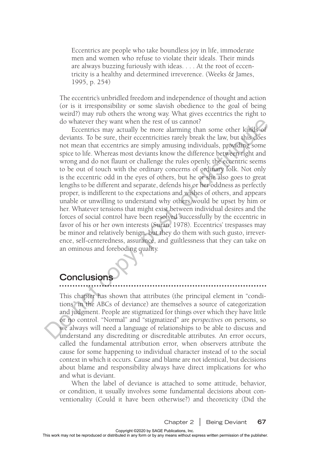Eccentrics are people who take boundless joy in life, immoderate men and women who refuse to violate their ideals. Their minds are always buzzing furiously with ideas. . . . At the root of eccentricity is a healthy and determined irreverence. (Weeks & James, 1995, p. 254)

The eccentric's unbridled freedom and independence of thought and action (or is it irresponsibility or some slavish obedience to the goal of being weird?) may rub others the wrong way. What gives eccentrics the right to do whatever they want when the rest of us cannot?

Eccentrics may actually be more alarming than some other kinds of deviants. To be sure, their eccentricities rarely break the law, but this does not mean that eccentrics are simply amusing individuals, providing some spice to life. Whereas most deviants know the difference between right and wrong and do not flaunt or challenge the rules openly, the eccentric seems to be out of touch with the ordinary concerns of ordinary folk. Not only is the eccentric odd in the eyes of others, but he or she also goes to great lengths to be different and separate, defends his or her oddness as perfectly proper, is indifferent to the expectations and wishes of others, and appears unable or unwilling to understand why others would be upset by him or her. Whatever tensions that might exist between individual desires and the forces of social control have been resolved successfully by the eccentric in favor of his or her own interests (Suran, 1978). Eccentrics' trespasses may be minor and relatively benign, but they do them with such gusto, irreverence, self-centeredness, assurance, and guiltlessness that they can take on an ominous and foreboding quality. do whatever they want when the rest of us cannot?<br>
Eccentrics may actually be more alarming than some other kinds of<br>
deviants. To be sure, their ccentricities rarely break the law, but this does<br>
not mean that ccentrics a

# **Conclusions**

This chapter has shown that attributes (the principal element in "conditions" in the ABCs of deviance) are themselves a source of categorization and judgment. People are stigmatized for things over which they have little or no control. "Normal" and "stigmatized" are *perspectives* on persons, so we always will need a language of relationships to be able to discuss and understand any discrediting or discreditable attributes. An error occurs, called the fundamental attribution error, when observers attribute the cause for some happening to individual character instead of to the social context in which it occurs. Cause and blame are not identical, but decisions about blame and responsibility always have direct implications for who and what is deviant.

When the label of deviance is attached to some attitude, behavior, or condition, it usually involves some fundamental decisions about conventionality (Could it have been otherwise?) and theoreticity (Did the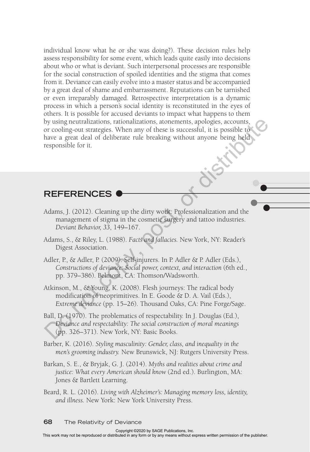individual know what he or she was doing?). These decision rules help assess responsibility for some event, which leads quite easily into decisions about who or what is deviant. Such interpersonal processes are responsible for the social construction of spoiled identities and the stigma that comes from it. Deviance can easily evolve into a master status and be accompanied by a great deal of shame and embarrassment. Reputations can be tarnished or even irreparably damaged. Retrospective interpretation is a dynamic process in which a person's social identity is reconstituted in the eyes of others. It is possible for accused deviants to impact what happens to them by using neutralizations, rationalizations, atonements, apologies, accounts, or cooling-out strategies. When any of these is successful, it is possible to have a great deal of deliberate rule breaking without anyone being held responsible for it. by using neutralizations, rationalizations, atonements, apologies, accounts,<br>
or cooling-out strategies. When any of these is successful, it is possible to<br>
have a great deal of deliberate rule breaking without anyone bein

# **REFERENCES**

- Adams, J. (2012). Cleaning up the dirty work: Professionalization and the management of stigma in the cosmetic surgery and tattoo industries. *Deviant Behavior, 33*, 149–167.
- Adams, S., & Riley, L. (1988). *Facts and fallacies.* New York, NY: Reader's Digest Association.
- Adler, P., & Adler, P. (2009). Self-injurers. In P. Adler & P. Adler (Eds.), *Constructions of deviance: Social power, context, and interaction* (6th ed., pp. 379–386). Belmont, CA: Thomson/Wadsworth.
- Atkinson, M., & Young, K. (2008). Flesh journeys: The radical body modification of neoprimitives. In E. Goode & D. A. Vail (Eds.), *Extreme deviance* (pp. 15–26). Thousand Oaks, CA: Pine Forge/Sage.
- Ball, D. (1970). The problematics of respectability. In J. Douglas (Ed.), *Deviance and respectability: The social construction of moral meanings*  (pp. 326–371). New York, NY: Basic Books.
- Barber, K. (2016). *Styling masculinity: Gender, class, and inequality in the men's grooming industry.* New Brunswick, NJ: Rutgers University Press.
- Barkan, S. E., & Bryjak, G. J. (2014). *Myths and realities about crime and justice: What every American should know* (2nd ed.). Burlington, MA: Jones & Bartlett Learning.
- Beard, R. L. (2016). *Living with Alzheimer's: Managing memory loss, identity, and illness.* New York: New York University Press.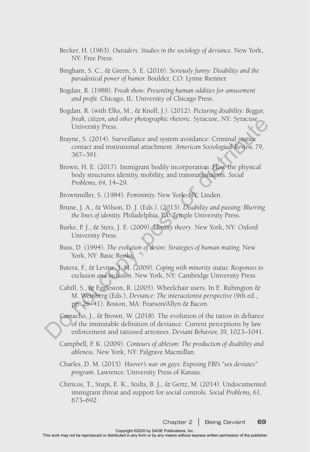- Becker, H. (1963). *Outsiders: Studies in the sociology of deviance.* New York, NY: Free Press.
- Bingham, S. C., & Green, S. E. (2016). *Seriously funny: Disability and the paradoxical power of humor.* Boulder, CO: Lynne Rienner.
- Bogdan, R. (1988). *Freak show: Presenting human oddities for amusement and profit.* Chicago, IL: University of Chicago Press.
- Bogdan, R. (with Elks, M., & Knoll, J.). (2012). *Picturing disability: Beggar, freak, citizen, and other photographic rhetoric.* Syracuse, NY: Syracuse University Press.
- Brayne, S. (2014). Surveillance and system avoidance: Criminal justice contact and institutional attachment. *American Sociological Review, 79,*  367–391.
- Brown, H. E. (2017). Immigrant bodily incorporation: How the physical body structures identity, mobility, and transnationalism. *Social Problems, 64,* 14–29.
- Brownmiller, S. (1984). *Femininity.* New York, NY: Linden.
- Brune, J. A., & Wilson, D. J. (Eds.). (2013). *Disability and passing: Blurring the lines of identity.* Philadelphia, PA: Temple University Press.
- Burke, P. J., & Stets, J. E. (2009). *Identity theory*. New York, NY: Oxford University Press.
- Buss, D. (1994). *The evolution of desire: Strategies of human mating.* New York, NY: Basic Books.
- Butera, F., & Levine, J. M. (2009). *Coping with minority status: Responses to exclusion and inclusion*. New York, NY: Cambridge University Press.
- Cahill, S., & Eggleston, R. (2005). Wheelchair users. In E. Rubington & M. Weinberg (Eds.), *Deviance: The interactionist perspective* (9th ed., pp. 26–41). Boston, MA: Pearson/Allyn & Bacon.
- Camacho, J., & Brown, W. (2018). The evolution of the tattoo in defiance of the immutable definition of deviance: Current perceptions by law enforcement and tattooed arrestees. *Deviant Behavior, 39,* 1023–1041. Frag, citzen, and oner photographic metonic. Syracuse, NY: Syracuse, NY: Syracuse Brayne, S. (2014). Surveillance and system avoidance: Criminal justice contact and institutional attachment. American Sociological Review,
	- Campbell, F. K. (2009). *Contours of ableism: The production of disability and ableness*. New York, NY: Palgrave Macmillan.
	- Charles, D. M. (2015). *Hoover's war on gays: Exposing FBI's "sex deviates" program.* Lawrence: University Press of Kansas.
	- Chiricos, T., Stupi, E. K., Stults, B. J., & Gertz, M. (2014). Undocumented immigrant threat and support for social controls. *Social Problems, 61,*  673–692.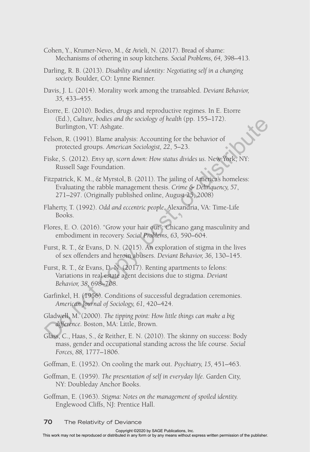- Cohen, Y., Krumer-Nevo, M., & Avieli, N. (2017). Bread of shame: Mechanisms of othering in soup kitchens. *Social Problems, 64,* 398–413.
- Darling, R. B. (2013). *Disability and identity: Negotiating self in a changing society.* Boulder, CO: Lynne Rienner.
- Davis, J. L. (2014). Morality work among the transabled. *Deviant Behavior, 35,* 433–455.
- Etorre, E. (2010). Bodies, drugs and reproductive regimes. In E. Etorre (Ed.), *Culture, bodies and the sociology of health* (pp. 155–172). Burlington, VT: Ashgate.
- Felson, R. (1991). Blame analysis: Accounting for the behavior of protected groups. *American Sociologist, 22*, 5–23.
- Fiske, S. (2012). *Envy up, scorn down: How status divides us.* New York, NY: Russell Sage Foundation.
- Fitzpatrick, K. M., & Myrstol, B. (2011). The jailing of America's homeless: Evaluating the rabble management thesis. *Crime & Delinquency, 57*, 271–297. (Originally published online, August 25, 2008) (r.a.), cutture, postes and the sociology of neath (pp. 155-1721).<br>
Burlington, VT: Ashgate.<br>
Felson, R. (1991). Blame analysis: Accounting for the behavior of<br>
protected groups. American Sociologist, 22, 5-23.<br>
Fiske, S.
- Flaherty, T. (1992). *Odd and eccentric people.* Alexandria, VA: Time-Life Books.
- Flores, E. O. (2016). "Grow your hair out": Chicano gang masculinity and embodiment in recovery. *Social Problems, 63,* 590–604.
- Furst, R. T., & Evans, D. N. (2015). An exploration of stigma in the lives of sex offenders and heroin abusers. *Deviant Behavior, 36,* 130–145.
- Furst, R. T., & Evans, D. N. (2017). Renting apartments to felons: Variations in real estate agent decisions due to stigma. *Deviant Behavior, 38,* 698–708.
- Garfinkel, H. (1956). Conditions of successful degradation ceremonies. *American Journal of Sociology, 61,* 420–424.
- Gladwell, M. (2000). *The tipping point: How little things can make a big difference.* Boston, MA: Little, Brown.
- Glass, C., Haas, S., & Reither, E. N. (2010). The skinny on success: Body mass, gender and occupational standing across the life course. *Social Forces, 88,* 1777–1806.
- Goffman, E. (1952). On cooling the mark out. *Psychiatry, 15,* 451–463.
- Goffman, E. (1959). *The presentation of self in everyday life.* Garden City, NY: Doubleday Anchor Books.
- Goffman, E. (1963). *Stigma: Notes on the management of spoiled identity.*  Englewood Cliffs, NJ: Prentice Hall.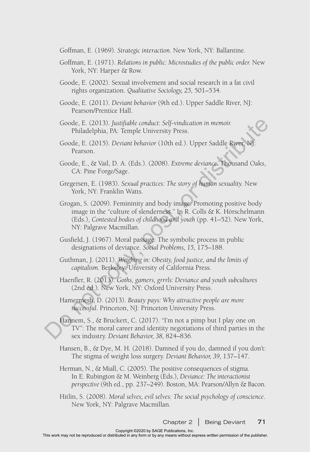Goffman, E. (1969). *Strategic interaction.* New York, NY: Ballantine.

- Goffman, E. (1971). *Relations in public: Microstudies of the public order.* New York, NY: Harper & Row.
- Goode, E. (2002). Sexual involvement and social research in a fat civil rights organization. *Qualitative Sociology, 25,* 501–534.
- Goode, E. (2011). *Deviant behavior* (9th ed.). Upper Saddle River, NJ: Pearson/Prentice Hall.
- Goode, E. (2013). *Justifiable conduct: Self-vindication in memoir.*  Philadelphia, PA: Temple University Press.
- Goode, E. (2015). *Deviant behavior* (10th ed.). Upper Saddle River, NJ: Pearson.
- Goode, E., & Vail, D. A. (Eds.). (2008). *Extreme deviance.* Thousand Oaks, CA: Pine Forge/Sage.
- Gregersen, E. (1983). *Sexual practices: The story of human sexuality.* New York, NY: Franklin Watts.
- Grogan, S. (2009). Femininity and body image: Promoting positive body image in the "culture of slenderness." In R. Colls & K. Hörschelmann (Eds.), *Contested bodies of childhood and youth* (pp. 41–52). New York, NY: Palgrave Macmillan. Goode, E. (2013). Justifiable conduct: Self-vindication in memoir.<br>
Philadelphia, PA: Temple University Press.<br>
Goode, E. (2015). Deviant behavior (10th ed.). Upper Saddle River MJ:<br>
Pearson.<br>
Goode, E., & Vail, D. A. (Eds
	- Gusfield, J. (1967). Moral passage: The symbolic process in public designations of deviance. *Social Problems, 15,* 175–188.
	- Guthman, J. (2011). *Weighing in: Obesity, food justice, and the limits of capitalism.* Berkeley: University of California Press.
	- Haenfler, R. (2013). *Goths, gamers, grrrls: Deviance and youth subcultures*  (2nd ed.). New York, NY: Oxford University Press.
	- Hamermesh, D. (2013). *Beauty pays: Why attractive people are more successful.* Princeton, NJ: Princeton University Press.
	- Hannem, S., & Bruckert, C. (2017). "I'm not a pimp but I play one on TV": The moral career and identity negotiations of third parties in the sex industry. *Deviant Behavior, 38,* 824–836.
	- Hansen, B., & Dye, M. H. (2018). Damned if you do, damned if you don't: The stigma of weight loss surgery. *Deviant Behavior, 39,* 137–147.
	- Herman, N., & Miall, C. (2005). The positive consequences of stigma. In E. Rubington & M. Weinberg (Eds.), *Deviance: The interactionist perspective* (9th ed., pp. 237–249). Boston, MA: Pearson/Allyn & Bacon.
	- Hitlin, S. (2008). *Moral selves, evil selves: The social psychology of conscience*. New York, NY: Palgrave Macmillan.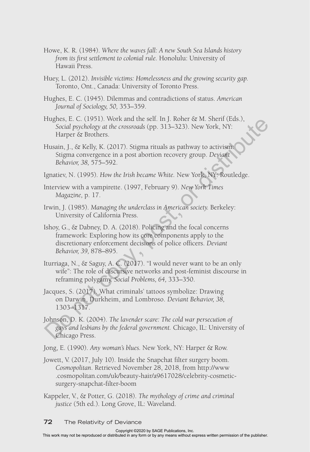- Howe, K. R. (1984). *Where the waves fall: A new South Sea Islands history from its first settlement to colonial rule.* Honolulu: University of Hawaii Press.
- Huey, L. (2012). *Invisible victims: Homelessness and the growing security gap.*  Toronto, Ont., Canada: University of Toronto Press.
- Hughes, E. C. (1945). Dilemmas and contradictions of status. *American Journal of Sociology, 50,* 353–359.
- Hughes, E. C. (1951). Work and the self. In J. Roher & M. Sherif (Eds.), *Social psychology at the crossroads* (pp. 313–323). New York, NY: Harper & Brothers.
- Husain, J., & Kelly, K. (2017). Stigma rituals as pathway to activism: Stigma convergence in a post abortion recovery group. *Deviant Behavior, 38,* 575–592.
- Ignatiev, N. (1995). *How the Irish became White.* New York, NY: Routledge.
- Interview with a vampirette. (1997, February 9). *New York Times Magazine,* p. 17.
- Irwin, J. (1985). *Managing the underclass in American society.* Berkeley: University of California Press.
- Ishoy, G., & Dabney, D. A. (2018). Policing and the focal concerns framework: Exploring how its core components apply to the discretionary enforcement decisions of police officers. *Deviant Behavior, 39,* 878–895. Frugnes, E. C. (1995). Work and the seit. in J. Koner ex M. Snert (Fas.),<br>
Social psychology at the crossroads (pp. 313–323). New York, NY:<br>
Husain, J., & Kelly, K. (2017). Stigma rituals as pathway to activism<br>
Editoric
- Iturriaga, N., & Saguy, A. C. (2017). "I would never want to be an only wife": The role of discursive networks and post-feminist discourse in reframing polygamy. *Social Problems, 64,* 333–350.
- Jacques, S. (2017). What criminals' tattoos symbolize: Drawing on Darwin, Durkheim, and Lombroso. *Deviant Behavior, 38,*  1303–1317.
- Johnson, D. K. (2004). *The lavender scare: The cold war persecution of gays and lesbians by the federal government.* Chicago, IL: University of Chicago Press.
- Jong, E. (1990). *Any woman's blues.* New York, NY: Harper & Row.
- Jowett, V. (2017, July 10). Inside the Snapchat filter surgery boom. *Cosmopolitan*. Retrieved November 28, 2018, from http://www .cosmopolitan.com/uk/beauty-hair/a9617028/celebrity-cosmeticsurgery-snapchat-filter-boom
- Kappeler, V., & Potter, G. (2018). *The mythology of crime and criminal justice* (5th ed.). Long Grove, IL: Waveland.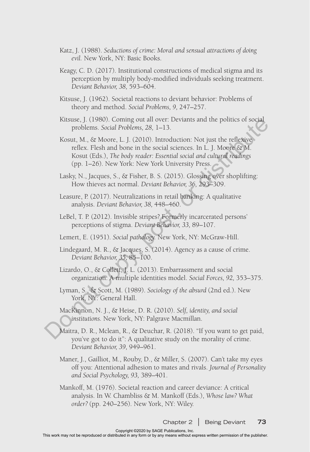- Katz, J. (1988). *Seductions of crime: Moral and sensual attractions of doing evil.* New York, NY: Basic Books.
- Keagy, C. D. (2017). Institutional constructions of medical stigma and its perception by multiply body-modified individuals seeking treatment. *Deviant Behavior, 38,* 593–604.
- Kitsuse, J. (1962). Societal reactions to deviant behavior: Problems of theory and method. *Social Problems, 9,* 247–257.
- Kitsuse, J. (1980). Coming out all over: Deviants and the politics of social problems. *Social Problems, 28,* 1–13.
- Kosut, M., & Moore, L. J. (2010). Introduction: Not just the reflexive reflex. Flesh and bone in the social sciences. In L. J. Moore & M. Kosut (Eds.), *The body reader: Essential social and cultural readings*  (pp. 1–26). New York: New York University Press. Kitsuse, J. (1980). Coming out all over: Deviants and the politics of social<br>problems. Social Problems, 28, 1–13.<br>Kosut, M., & Moore, L. J. (2010). Introduction: Not just the reflexive<br>reflex. Flesh and bone in the social
	- Lasky, N., Jacques, S., & Fisher, B. S. (2015). Glossing over shoplifting: How thieves act normal. *Deviant Behavior, 36,* 293–309.
	- Leasure, P. (2017). Neutralizations in retail banking: A qualitative analysis. *Deviant Behavior, 38,* 448–460.
	- LeBel, T. P. (2012). Invisible stripes? Formerly incarcerated persons' perceptions of stigma. *Deviant Behavior, 33,* 89–107.
	- Lemert, E. (1951). *Social pathology.* New York, NY: McGraw-Hill.
	- Lindegaard, M. R., & Jacques, S. (2014). Agency as a cause of crime. *Deviant Behavior, 35,* 85–100.
	- Lizardo, O., & Collett, J. L. (2013). Embarrassment and social organization: A multiple identities model. *Social Forces, 92,* 353–375.
	- Lyman, S., & Scott, M. (1989). *Sociology of the absurd* (2nd ed.). New York, NY: General Hall.
	- MacKinnon, N. J., & Heise, D. R. (2010). *Self, identity, and social institutions.* New York, NY: Palgrave Macmillan.
	- Maitra, D. R., Mclean, R., & Deuchar, R. (2018). "If you want to get paid, you've got to do it": A qualitative study on the morality of crime. *Deviant Behavior, 39,* 949–961.
	- Maner, J., Gailliot, M., Rouby, D., & Miller, S. (2007). Can't take my eyes off you: Attentional adhesion to mates and rivals. *Journal of Personality and Social Psychology, 93,* 389–401.
	- Mankoff, M. (1976). Societal reaction and career deviance: A critical analysis. In W. Chambliss & M. Mankoff (Eds.), *Whose law? What order?* (pp. 240–256). New York, NY: Wiley.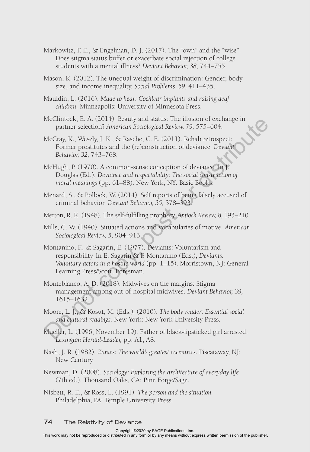- Markowitz, F. E., & Engelman, D. J. (2017). The "own" and the "wise": Does stigma status buffer or exacerbate social rejection of college students with a mental illness? *Deviant Behavior, 38,* 744–755.
- Mason, K. (2012). The unequal weight of discrimination: Gender, body size, and income inequality. *Social Problems, 59,* 411–435.
- Mauldin, L. (2016). *Made to hear: Cochlear implants and raising deaf children.* Minneapolis: University of Minnesota Press.
- McClintock, E. A. (2014). Beauty and status: The illusion of exchange in partner selection? *American Sociological Review, 79,* 575–604.
- McCray, K., Wesely, J. K., & Rasche, C. E. (2011). Rehab retrospect: Former prostitutes and the (re)construction of deviance. *Deviant Behavior, 32,* 743–768.
- McHugh, P. (1970). A common-sense conception of deviance. In J. Douglas (Ed.), *Deviance and respectability: The social construction of moral meanings* (pp. 61–88). New York, NY: Basic Books.
- Menard, S., & Pollock, W. (2014). Self reports of being falsely accused of criminal behavior. *Deviant Behavior, 35,* 378–393.
- Merton, R. K. (1948). The self-fulfilling prophecy. *Antioch Review, 8,* 193–210.
- Mills, C. W. (1940). Situated actions and vocabularies of motive. *American Sociological Review, 5,* 904–913.
- Montanino, F., & Sagarin, E. (1977). Deviants: Voluntarism and responsibility. In E. Sagarin & F. Montanino (Eds.), *Deviants: Voluntary actors in a hostile world* (pp. 1–15). Morristown, NJ: General Learning Press/Scott, Foresman. McClintock, E. A. (2014). Beatly and status: 1ne littusion of excenange in<br>
McCray, K., Wesely, J. K., & Rasche, C. E. (2011). Rehab retrospect:<br>
Former prostitutes and the (re)construction of deviance. Deviant<br>
Debutahor,
- Monteblanco, A. D. (2018). Midwives on the margins: Stigma management among out-of-hospital midwives. *Deviant Behavior, 39,*  1615–1632.
- Moore, L. J., & Kosut, M. (Eds.). (2010). *The body reader: Essential social and cultural readings.* New York: New York University Press.
- Mueller, L. (1996, November 19). Father of black-lipsticked girl arrested. *Lexington Herald-Leader,* pp. A1, A8.
- Nash, J. R. (1982). *Zanies: The world's greatest eccentrics.* Piscataway, NJ: New Century.
- Newman, D. (2008). *Sociology: Exploring the architecture of everyday life*  (7th ed.). Thousand Oaks, CA: Pine Forge/Sage.
- Nisbett, R. E., & Ross, L. (1991). *The person and the situation.*  Philadelphia, PA: Temple University Press.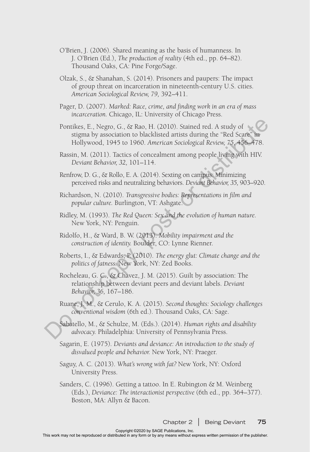- O'Brien, J. (2006). Shared meaning as the basis of humanness. In J. O'Brien (Ed.), *The production of reality* (4th ed., pp. 64–82). Thousand Oaks, CA: Pine Forge/Sage.
- Olzak, S., & Shanahan, S. (2014). Prisoners and paupers: The impact of group threat on incarceration in nineteenth-century U.S. cities. *American Sociological Review, 79,* 392–411.
- Pager, D. (2007). *Marked: Race, crime, and finding work in an era of mass incarceration.* Chicago, IL: University of Chicago Press.
- Pontikes, E., Negro, G., & Rao, H. (2010). Stained red. A study of stigma by association to blacklisted artists during the "Red Scare" in Hollywood, 1945 to 1960. *American Sociological Review, 75,* 456–478. Pontikes, E., Negro, G., & Rao, H. (2010). Stained red. A study of<br>stigma by association to blacklisted artists during the "Red Scare" in<br>Hollywood, 1945 to 1960. American Sociological Review, 75, 456–478.<br>Rassin, M. (201
	- Rassin, M. (2011). Tactics of concealment among people living with HIV. *Deviant Behavior, 32,* 101–114.
	- Renfrow, D. G., & Rollo, E. A. (2014). Sexting on campus: Minimizing perceived risks and neutralizing behaviors. *Deviant Behavior, 35,* 903–920.
	- Richardson, N. (2010). *Transgressive bodies: Representations in film and popular culture.* Burlington, VT: Ashgate.
	- Ridley, M. (1993). *The Red Queen: Sex and the evolution of human nature.*  New York, NY: Penguin.
	- Ridolfo, H., & Ward, B. W. (2013). *Mobility impairment and the construction of identity.* Boulder, CO: Lynne Rienner.
	- Roberts, I., & Edwards, P. (2010). *The energy glut: Climate change and the politics of fatness.* New York, NY: Zed Books.
	- Rocheleau, G. C., & Chavez, J. M. (2015). Guilt by association: The relationship between deviant peers and deviant labels. *Deviant Behavior, 36,* 167–186.
	- Ruane, J. M., & Cerulo, K. A. (2015). *Second thoughts: Sociology challenges conventional wisdom* (6th ed.). Thousand Oaks, CA: Sage.

Sabatello, M., & Schulze, M. (Eds.). (2014). *Human rights and disability advocacy.* Philadelphia: University of Pennsylvania Press.

- Sagarin, E. (1975). *Deviants and deviance: An introduction to the study of disvalued people and behavior.* New York, NY: Praeger.
- Saguy, A. C. (2013). *What's wrong with fat?* New York, NY: Oxford University Press.
- Sanders, C. (1996). Getting a tattoo. In E. Rubington & M. Weinberg (Eds.), *Deviance: The interactionist perspective* (6th ed., pp. 364–377). Boston, MA: Allyn & Bacon.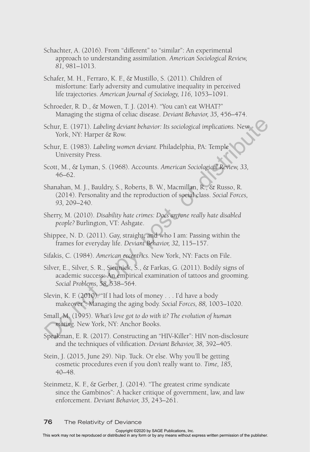- Schachter, A. (2016). From "different" to "similar": An experimental approach to understanding assimilation. *American Sociological Review, 81,* 981–1013.
- Schafer, M. H., Ferraro, K. F., & Mustillo, S. (2011). Children of misfortune: Early adversity and cumulative inequality in perceived life trajectories. *American Journal of Sociology, 116,* 1053–1091.
- Schroeder, R. D., & Mowen, T. J. (2014). "You can't eat WHAT?" Managing the stigma of celiac disease. *Deviant Behavior, 35,* 456–474.
- Schur, E. (1971). *Labeling deviant behavior: Its sociological implications.* New York, NY: Harper & Row.
- Schur, E. (1983). *Labeling women deviant.* Philadelphia, PA: Temple University Press.
- Scott, M., & Lyman, S. (1968). Accounts. *American Sociological Review, 33,*  46–62.
- Shanahan, M. J., Bauldry, S., Roberts, B. W., Macmillan, R., & Russo, R. (2014). Personality and the reproduction of social class. *Social Forces, 93,* 209–240.
- Sherry, M. (2010). *Disability hate crimes: Does anyone really hate disabled people?* Burlington, VT: Ashgate.
- Shippee, N. D. (2011). Gay, straight, and who I am: Passing within the frames for everyday life. *Deviant Behavior, 32,* 115–157.
- Sifakis, C. (1984). *American eccentrics.* New York, NY: Facts on File.
- Silver, E., Silver, S. R., Siennick, S., & Farkas, G. (2011). Bodily signs of academic success: An empirical examination of tattoos and grooming. *Social Problems, 58,* 538–564. Schur, E. (1971). Labeling deviant behavior: Its sociological implications. News<br>
York, NY: Harper & Row.<br>
Schur, E. (1983). Labeling women deviant. Philadelphia, PA: Temple<br>
University Press.<br>
Cost, M., & Lyman, S. (1968)
- Slevin, K. F. (2010). "If I had lots of money . . . I'd have a body makeover": Managing the aging body. *Social Forces, 88,* 1003–1020.
- Small, M. (1995). *What's love got to do with it? The evolution of human mating.* New York, NY: Anchor Books.
- Speakman, E. R. (2017). Constructing an "HIV-Killer": HIV non-disclosure and the techniques of vilification. *Deviant Behavior, 38,* 392–405.
- Stein, J. (2015, June 29). Nip. Tuck. Or else. Why you'll be getting cosmetic procedures even if you don't really want to. *Time, 185,*  40–48.
- Steinmetz, K. F., & Gerber, J. (2014). "The greatest crime syndicate since the Gambinos": A hacker critique of government, law, and law enforcement. *Deviant Behavior, 35,* 243–261.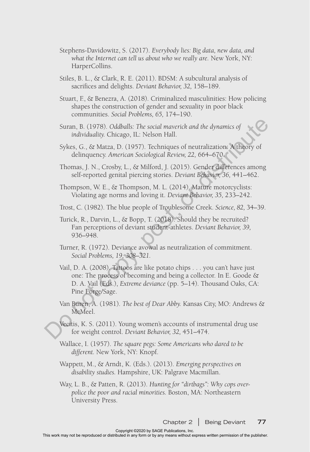- Stephens-Davidowitz, S. (2017). *Everybody lies: Big data, new data, and what the Internet can tell us about who we really are.* New York, NY: HarperCollins.
- Stiles, B. L., & Clark, R. E. (2011). BDSM: A subcultural analysis of sacrifices and delights. *Deviant Behavior, 32,* 158–189.
- Stuart, F., & Benezra, A. (2018). Criminalized masculinities: How policing shapes the construction of gender and sexuality in poor black communities. *Social Problems, 65,* 174–190.
- Suran, B. (1978). *Oddballs: The social maverick and the dynamics of individuality.* Chicago, IL: Nelson Hall.
- Sykes, G., & Matza, D. (1957). Techniques of neutralization: A theory of delinquency. *American Sociological Review, 22,* 664–670.
- Thomas, J. N., Crosby, L., & Milford, J. (2015). Gender differences among self-reported genital piercing stories. *Deviant Behavior, 36,* 441–462.
- Thompson, W. E., & Thompson, M. L. (2014). Mature motorcyclists: Violating age norms and loving it. *Deviant Behavior, 35,* 233–242.
- Trost, C. (1982). The blue people of Troublesome Creek. *Science, 82,* 34–39.
- Turick, R., Darvin, L., & Bopp, T. (2018). Should they be recruited? Fan perceptions of deviant student-athletes. *Deviant Behavior, 39,*  936*–*948.
- Turner, R. (1972). Deviance avowal as neutralization of commitment. *Social Problems, 19, 308–321.*
- Vail, D. A. (2008). Tattoos are like potato chips . . . you can't have just one: The process of becoming and being a collector. In E. Goode & D. A. Vail (Eds.), *Extreme deviance* (pp. 5–14). Thousand Oaks, CA: Pine Forge/Sage. Suran, B. (1978). Oddballs: The social maverick and the dynamics of<br>individuality. Chicago, IL: Nelson Hall.<br>Sykes, G., & Matza, D. (1957). Techniques of neutralization: Atheory of<br>delinquency. American Sociological Review
	- Van Buren, A. (1981). *The best of Dear Abby.* Kansas City, MO: Andrews & McMeel.
	- Vecitis, K. S. (2011). Young women's accounts of instrumental drug use for weight control. *Deviant Behavior, 32,* 451–474.
	- Wallace, I. (1957). *The square pegs: Some Americans who dared to be different.* New York, NY: Knopf.
	- Wappett, M., & Arndt, K. (Eds.). (2013). *Emerging perspectives on disability studies.* Hampshire, UK: Palgrave Macmillan.
	- Way, L. B., & Patten, R. (2013). *Hunting for "dirtbags": Why cops overpolice the poor and racial minorities.* Boston, MA: Northeastern University Press.